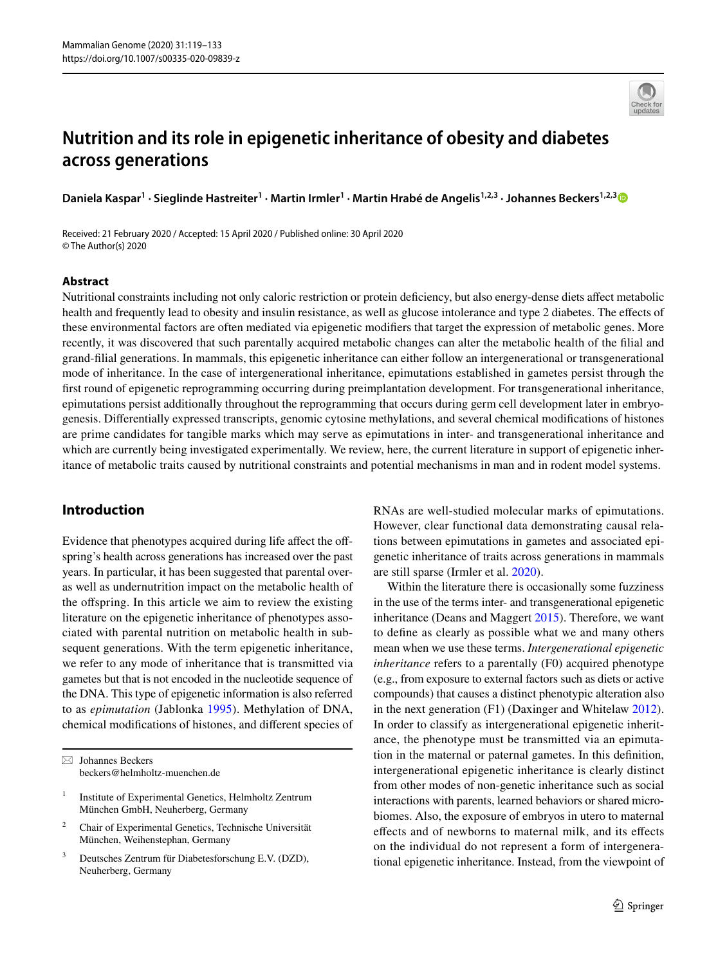

# **Nutrition and its role in epigenetic inheritance of obesity and diabetes across generations**

Daniela Kaspar<sup>1</sup> · Sieglinde Hastreiter<sup>1</sup> · Martin Irmler<sup>1</sup> · Martin Hrabé de Angelis<sup>1,2,[3](http://orcid.org/0000-0001-7874-3822)</sup> · Johannes Beckers<sup>1,2,3</sup>

Received: 21 February 2020 / Accepted: 15 April 2020 / Published online: 30 April 2020 © The Author(s) 2020

## **Abstract**

Nutritional constraints including not only caloric restriction or protein defciency, but also energy-dense diets afect metabolic health and frequently lead to obesity and insulin resistance, as well as glucose intolerance and type 2 diabetes. The efects of these environmental factors are often mediated via epigenetic modifers that target the expression of metabolic genes. More recently, it was discovered that such parentally acquired metabolic changes can alter the metabolic health of the flial and grand-flial generations. In mammals, this epigenetic inheritance can either follow an intergenerational or transgenerational mode of inheritance. In the case of intergenerational inheritance, epimutations established in gametes persist through the frst round of epigenetic reprogramming occurring during preimplantation development. For transgenerational inheritance, epimutations persist additionally throughout the reprogramming that occurs during germ cell development later in embryogenesis. Diferentially expressed transcripts, genomic cytosine methylations, and several chemical modifcations of histones are prime candidates for tangible marks which may serve as epimutations in inter- and transgenerational inheritance and which are currently being investigated experimentally. We review, here, the current literature in support of epigenetic inheritance of metabolic traits caused by nutritional constraints and potential mechanisms in man and in rodent model systems.

# **Introduction**

Evidence that phenotypes acquired during life affect the offspring's health across generations has increased over the past years. In particular, it has been suggested that parental overas well as undernutrition impact on the metabolic health of the ofspring. In this article we aim to review the existing literature on the epigenetic inheritance of phenotypes associated with parental nutrition on metabolic health in subsequent generations. With the term epigenetic inheritance, we refer to any mode of inheritance that is transmitted via gametes but that is not encoded in the nucleotide sequence of the DNA. This type of epigenetic information is also referred to as *epimutation* (Jablonka [1995](#page-13-0)). Methylation of DNA, chemical modifcations of histones, and diferent species of

 $\boxtimes$  Johannes Beckers beckers@helmholtz-muenchen.de

- <sup>1</sup> Institute of Experimental Genetics, Helmholtz Zentrum München GmbH, Neuherberg, Germany
- <sup>2</sup> Chair of Experimental Genetics, Technische Universität München, Weihenstephan, Germany
- <sup>3</sup> Deutsches Zentrum für Diabetesforschung E.V. (DZD), Neuherberg, Germany

RNAs are well-studied molecular marks of epimutations. However, clear functional data demonstrating causal relations between epimutations in gametes and associated epigenetic inheritance of traits across generations in mammals are still sparse (Irmler et al. [2020\)](#page-13-1).

Within the literature there is occasionally some fuzziness in the use of the terms inter- and transgenerational epigenetic inheritance (Deans and Maggert [2015](#page-12-0)). Therefore, we want to defne as clearly as possible what we and many others mean when we use these terms. *Intergenerational epigenetic inheritance* refers to a parentally (F0) acquired phenotype (e.g., from exposure to external factors such as diets or active compounds) that causes a distinct phenotypic alteration also in the next generation (F1) (Daxinger and Whitelaw [2012](#page-12-1)). In order to classify as intergenerational epigenetic inheritance, the phenotype must be transmitted via an epimutation in the maternal or paternal gametes. In this defnition, intergenerational epigenetic inheritance is clearly distinct from other modes of non-genetic inheritance such as social interactions with parents, learned behaviors or shared microbiomes. Also, the exposure of embryos in utero to maternal efects and of newborns to maternal milk, and its efects on the individual do not represent a form of intergenerational epigenetic inheritance. Instead, from the viewpoint of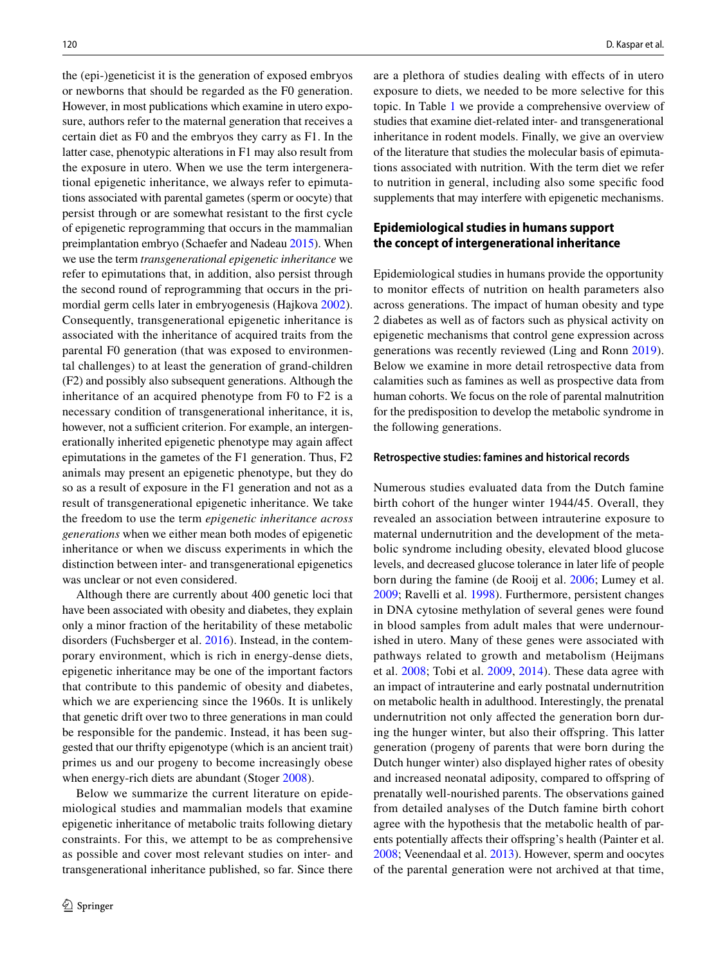the (epi-)geneticist it is the generation of exposed embryos or newborns that should be regarded as the F0 generation. However, in most publications which examine in utero exposure, authors refer to the maternal generation that receives a certain diet as F0 and the embryos they carry as F1. In the latter case, phenotypic alterations in F1 may also result from the exposure in utero. When we use the term intergenerational epigenetic inheritance, we always refer to epimutations associated with parental gametes (sperm or oocyte) that persist through or are somewhat resistant to the frst cycle of epigenetic reprogramming that occurs in the mammalian preimplantation embryo (Schaefer and Nadeau [2015](#page-14-0)). When we use the term *transgenerational epigenetic inheritance* we refer to epimutations that, in addition, also persist through the second round of reprogramming that occurs in the primordial germ cells later in embryogenesis (Hajkova [2002](#page-13-2)). Consequently, transgenerational epigenetic inheritance is associated with the inheritance of acquired traits from the parental F0 generation (that was exposed to environmental challenges) to at least the generation of grand-children (F2) and possibly also subsequent generations. Although the inheritance of an acquired phenotype from F0 to F2 is a necessary condition of transgenerational inheritance, it is, however, not a sufficient criterion. For example, an intergenerationally inherited epigenetic phenotype may again afect epimutations in the gametes of the F1 generation. Thus, F2 animals may present an epigenetic phenotype, but they do so as a result of exposure in the F1 generation and not as a result of transgenerational epigenetic inheritance. We take the freedom to use the term *epigenetic inheritance across generations* when we either mean both modes of epigenetic inheritance or when we discuss experiments in which the distinction between inter- and transgenerational epigenetics was unclear or not even considered.

Although there are currently about 400 genetic loci that have been associated with obesity and diabetes, they explain only a minor fraction of the heritability of these metabolic disorders (Fuchsberger et al. [2016](#page-12-2)). Instead, in the contemporary environment, which is rich in energy-dense diets, epigenetic inheritance may be one of the important factors that contribute to this pandemic of obesity and diabetes, which we are experiencing since the 1960s. It is unlikely that genetic drift over two to three generations in man could be responsible for the pandemic. Instead, it has been suggested that our thrifty epigenotype (which is an ancient trait) primes us and our progeny to become increasingly obese when energy-rich diets are abundant (Stoger [2008\)](#page-14-1).

Below we summarize the current literature on epidemiological studies and mammalian models that examine epigenetic inheritance of metabolic traits following dietary constraints. For this, we attempt to be as comprehensive as possible and cover most relevant studies on inter- and transgenerational inheritance published, so far. Since there are a plethora of studies dealing with efects of in utero exposure to diets, we needed to be more selective for this topic. In Table [1](#page-2-0) we provide a comprehensive overview of studies that examine diet-related inter- and transgenerational inheritance in rodent models. Finally, we give an overview of the literature that studies the molecular basis of epimutations associated with nutrition. With the term diet we refer to nutrition in general, including also some specifc food supplements that may interfere with epigenetic mechanisms.

# **Epidemiological studies in humans support the concept of intergenerational inheritance**

Epidemiological studies in humans provide the opportunity to monitor efects of nutrition on health parameters also across generations. The impact of human obesity and type 2 diabetes as well as of factors such as physical activity on epigenetic mechanisms that control gene expression across generations was recently reviewed (Ling and Ronn [2019](#page-13-3)). Below we examine in more detail retrospective data from calamities such as famines as well as prospective data from human cohorts. We focus on the role of parental malnutrition for the predisposition to develop the metabolic syndrome in the following generations.

#### **Retrospective studies: famines and historical records**

Numerous studies evaluated data from the Dutch famine birth cohort of the hunger winter 1944/45. Overall, they revealed an association between intrauterine exposure to maternal undernutrition and the development of the metabolic syndrome including obesity, elevated blood glucose levels, and decreased glucose tolerance in later life of people born during the famine (de Rooij et al. [2006](#page-12-3); Lumey et al. [2009](#page-13-4); Ravelli et al. [1998\)](#page-14-2). Furthermore, persistent changes in DNA cytosine methylation of several genes were found in blood samples from adult males that were undernourished in utero. Many of these genes were associated with pathways related to growth and metabolism (Heijmans et al. [2008](#page-13-5); Tobi et al. [2009,](#page-14-3) [2014\)](#page-14-4). These data agree with an impact of intrauterine and early postnatal undernutrition on metabolic health in adulthood. Interestingly, the prenatal undernutrition not only afected the generation born during the hunger winter, but also their offspring. This latter generation (progeny of parents that were born during the Dutch hunger winter) also displayed higher rates of obesity and increased neonatal adiposity, compared to ofspring of prenatally well-nourished parents. The observations gained from detailed analyses of the Dutch famine birth cohort agree with the hypothesis that the metabolic health of parents potentially affects their offspring's health (Painter et al. [2008](#page-13-6); Veenendaal et al. [2013\)](#page-14-5). However, sperm and oocytes of the parental generation were not archived at that time,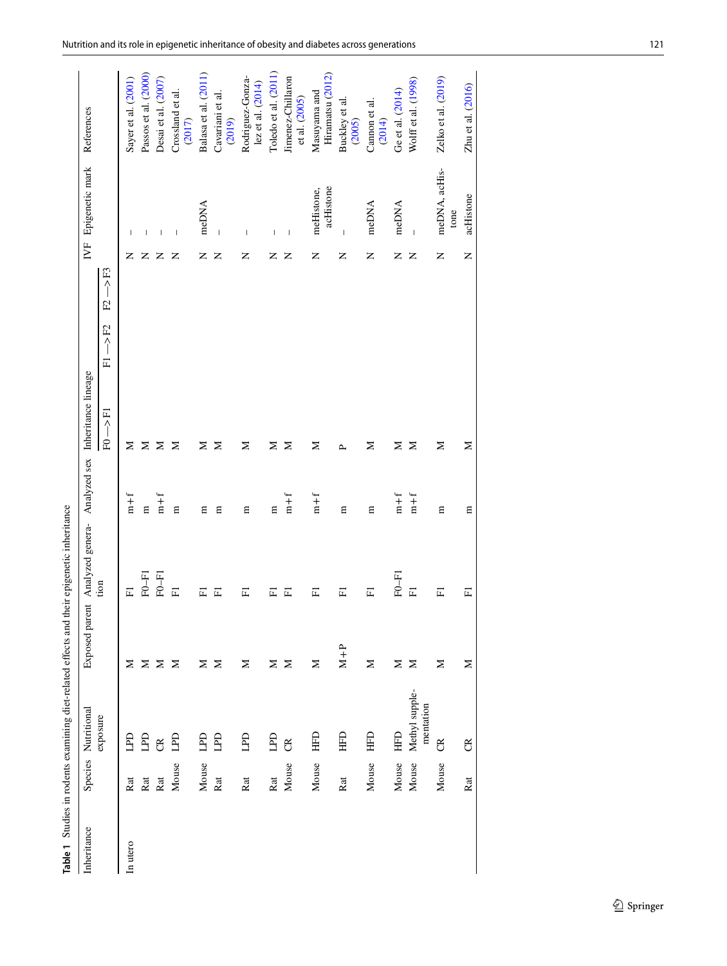<span id="page-2-0"></span>

|             |       | Table 1 Studies in rodents examining diet-related effects and their epigenetic inheritance |                |                         |              |                                  |                                    |                     |                                |                                           |
|-------------|-------|--------------------------------------------------------------------------------------------|----------------|-------------------------|--------------|----------------------------------|------------------------------------|---------------------|--------------------------------|-------------------------------------------|
| Inheritance |       | Species Nutritional                                                                        | Exposed parent | Analyzed genera-        |              | Analyzed sex Inheritance lineage |                                    |                     | IVF Epigenetic mark            | References                                |
|             |       | exposure                                                                                   |                | tion                    |              | 三个<br>E                          | $\rightarrow$ F2<br>$\overline{F}$ | $F2 \rightarrow F3$ |                                |                                           |
| In utero    | Rat   | £                                                                                          | z              | 囸                       | $m + f$      | z                                |                                    | z                   |                                | Sayer et al. (2001)                       |
|             | Rat   | G                                                                                          | Σ              | $F0-F1$                 | $\mathbf{E}$ | Σ                                |                                    | z                   |                                | Passos et al. (2000)                      |
|             | Rat   | g                                                                                          | Σ              | $F0-F1$                 | $m + f$      | Σ                                |                                    | z                   | $\overline{1}$                 | Desai et al. (2007)                       |
|             | Mouse | ГЫ                                                                                         | Σ              | 匞                       | ₿            | Σ                                |                                    | Z                   | $\,$ $\,$                      | Crossland et al.<br>(2017)                |
|             | Mouse | <b>G</b>                                                                                   | ⊠              | 匞                       | 目            | z                                |                                    | Z                   | meDNA                          | Balasa et al. (2011)                      |
|             | Rat   | <b>G</b>                                                                                   | Σ              | 匞                       | Е            | Σ                                |                                    | Z                   | $\overline{\phantom{a}}$       | Cavariani et al.<br>(2019)                |
|             | Rat   | 日                                                                                          | Σ              | 闰                       | Ε            | Σ                                |                                    | Z                   | $\overline{1}$                 | Rodriguez-Gonza-<br>$lex$ et al. $(2014)$ |
|             | Rat   | <b>G</b>                                                                                   | Σ              | 匞                       | Ε            | Σ                                |                                    | Z                   | $\overline{1}$                 | Toledo et al. (2011)                      |
|             | Mouse | g                                                                                          | Σ              | 匞                       | $m + f$      | Σ                                |                                    | Z                   | $\overline{\phantom{a}}$       | Jimenez-Chillaron<br>et al. (2005)        |
|             | Mouse | 日<br>田                                                                                     | Σ              | 匞                       | $m + f$      | Σ                                |                                    | Z                   | acHistone<br>meHistone,        | Hiramatsu (2012)<br>Masuyama and          |
|             | Rat   | <b>GHH</b>                                                                                 | $M+P$          | 匞                       | $\Xi$        | $\sim$                           |                                    | Z                   | $\begin{array}{c} \end{array}$ | Buckley et al.<br>(2005)                  |
|             | Mouse | <b>HFD</b>                                                                                 | Σ              | 匞                       | Ε            | Σ                                |                                    | Z                   | meDNA                          | Cannon et al.<br>(2014)                   |
|             | Mouse | EHD                                                                                        | Σ              | $F0-F1$                 | $m + f$      | z                                |                                    | Z                   | meDNA                          | Ge et al. (2014)                          |
|             | Mouse | Methyl supple-<br>mentation                                                                | Σ              | 国                       | $m + f$      | Σ                                |                                    | Z                   | $\overline{1}$                 | Wolff et al. (1998)                       |
|             | Mouse | g                                                                                          | Σ              | 匞                       | $\Xi$        | Σ                                |                                    | Z                   | meDNA, acHis-<br>tone          | Zelko et al. (2019)                       |
|             | Rat   | $\mathfrak{B}$                                                                             | Σ              | $\overline{\mathbb{H}}$ | $\Xi$        | $\geq$                           |                                    | Z                   | acHistone                      | Zhu et al. (2016)                         |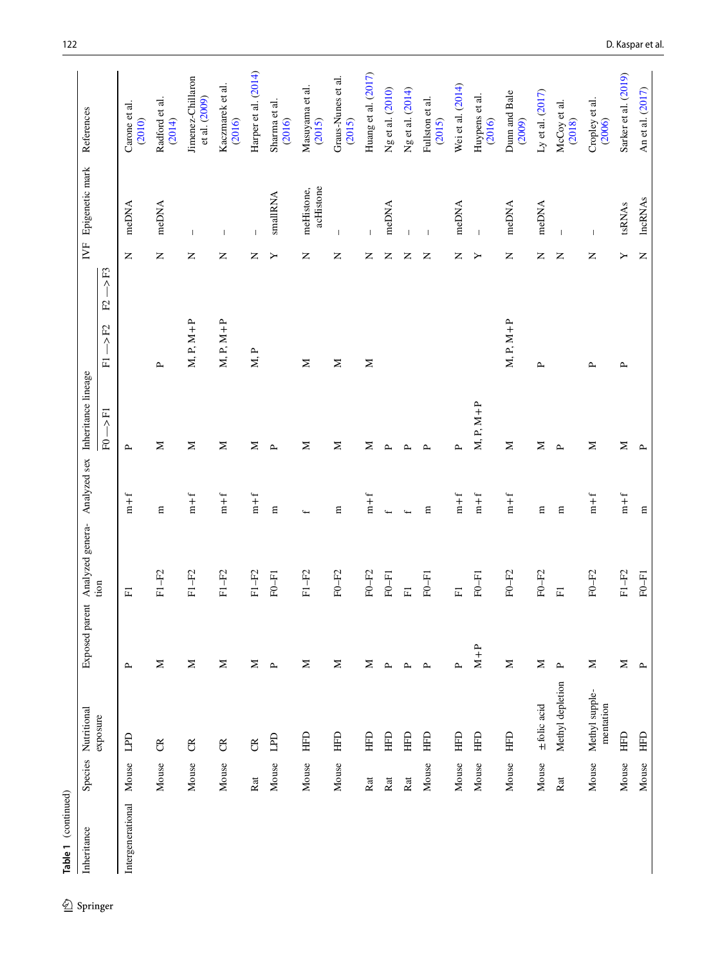| Inheritance       | Species                   | Nutritional                 | Exposed parent | Analyzed genera-        |                           | Analyzed sex Inheritance lineage |                                                                       | Ë                                        | Epigenetic mark         | References                         |
|-------------------|---------------------------|-----------------------------|----------------|-------------------------|---------------------------|----------------------------------|-----------------------------------------------------------------------|------------------------------------------|-------------------------|------------------------------------|
|                   |                           | exposure                    |                | tion                    |                           | $F0 - P1$                        | $\rightarrow$ F3<br>$\mathbf{E}$<br>$>$ F2<br>$\overline{\mathbb{H}}$ |                                          |                         |                                    |
| Intergenerational | Mouse                     | E                           | $\sim$         | $\overline{\text{H}}$   | $m + f$                   | $\sim$                           |                                                                       | $\square$                                | meDNA                   | Carone et al.<br>(2010)            |
|                   | Mouse                     | $\mathfrak{S}$              | Σ              | $F1 - F2$               | Ε                         | $\geq$                           | $\sim$                                                                | Z                                        | meDNA                   | Radford et al.<br>(2014)           |
|                   | Mouse                     | g                           | $\mathbf{z}$   | $F1 - F2$               | $\mathbbm{m}+\mathbbm{f}$ | $\geq$                           | $M, P, M+P$                                                           | $\overline{\phantom{a}}$<br>$\mathsf{z}$ |                         | Jimenez-Chillaron<br>et al. (2009) |
|                   | Mouse                     | $\mathfrak{B}$              | $\geq$         | $F1 - F2$               | $\mathbf{m}+\mathbf{f}$   | $\geq$                           | $M, P, M+P$                                                           | -1<br>Z                                  |                         | Kaczmarek et al.<br>(2016)         |
|                   | Rat                       | $\mathfrak{B}$              | $\geq$         | $F1 - F2$               | $m + f$                   | Σ                                | M, P                                                                  | $\overline{1}$<br>Z                      |                         | Harper et al. (2014)               |
|                   | Mouse                     | <b>GdT</b>                  | $\sim$         | $F0-F1$                 | $\Xi$                     | $\sim$                           |                                                                       | ≻                                        | smallRNA                | Sharma et al.<br>(2016)            |
|                   | Mouse                     | EHE                         | Σ              | $F1 - F2$               | $\overline{ }$            | Σ                                | $\geq$                                                                | z                                        | acHistone<br>meHistone, | Masuyama et al.<br>(2015)          |
|                   | Mouse                     | HFD                         | Σ              | $F0-F2$                 | $\Xi$                     | Σ                                | $\geq$                                                                | $\mathbf{I}$<br>Z                        |                         | Graus-Nunes et al.<br>(2015)       |
|                   | $\ensuremath{\text{Rat}}$ | EHE                         | Σ              | $F0-F2$                 | $m + f$                   | Σ                                | Σ                                                                     | z                                        |                         | Huang et al. (2017)                |
|                   | Rat                       | E                           | $\mathbf{r}$   | $F0-F1$                 | $\overline{ }$            | $\mathbf{r}$                     |                                                                       | Z                                        | meDNA                   | Ng et al. (2010)                   |
|                   | Rat                       | E                           | $\sim$         | $\overline{\mathbb{H}}$ | $\overline{ }$            | $\sim$                           |                                                                       | $\overline{1}$<br>z                      |                         | Ng et al. (2014)                   |
|                   | Mouse                     | E                           | $\sim$         | $F0-F1$                 | Е                         | $\sim$                           |                                                                       | $\overline{1}$<br>Z                      |                         | Fullston et al.<br>(2015)          |
|                   | Mouse                     | E                           | $\sim$         | $\overline{\mathbb{H}}$ | $m + f$                   | $\sim$                           |                                                                       | Z                                        | meDNA                   | Wei et al. (2014)                  |
|                   | Mouse                     | EHE                         | $M+P$          | $F0-F1$                 | $\mathbf{m}+\mathbf{f}$   | $M, P, M+P$                      |                                                                       | $\overline{\phantom{a}}$<br>≻            |                         | Huypens et al.<br>(2016)           |
|                   | Mouse                     | HFD                         | $\geq$         | $F0-F2$                 | $m + f$                   | $\geq$                           | $M, P, M+P$                                                           | Z                                        | meDNA                   | Dum and Bale<br>(2009)             |
|                   | Mouse                     | $±$ folic acid              | $\geq$         | $F0-F2$                 | $\Xi$                     | Σ                                | $\sim$                                                                | Z                                        | meDNA                   | Ly et al. $(2017)$                 |
|                   | Rat                       | Methyl depletion            | $\mathbf{r}$   | $\overline{\mathbb{H}}$ | $\Xi$                     | $\mathbf{r}$                     |                                                                       | Z                                        |                         | McCoy et al.<br>(2018)             |
|                   | Mouse                     | Methyl supple-<br>mentation | Σ              | $F0-F2$                 | $m + f$                   | Σ                                | $\sim$                                                                | L<br>Z                                   |                         | Cropley et al.<br>(2006)           |
|                   | Mouse                     | E                           | Σ              | $F1 - F2$               | $m + f$                   | Σ                                | $\sim$                                                                | $\blacktriangleright$                    | tsRNAs                  | Sarker et al. (2019)               |
|                   | Mouse                     | $\Xi$                       | $\mathbf{r}$   | $F0-F1$                 | Ε                         | $\mathbf{r}$                     |                                                                       | $\mathsf{z}$                             | <b>IncRNAs</b>          | An et al. (2017)                   |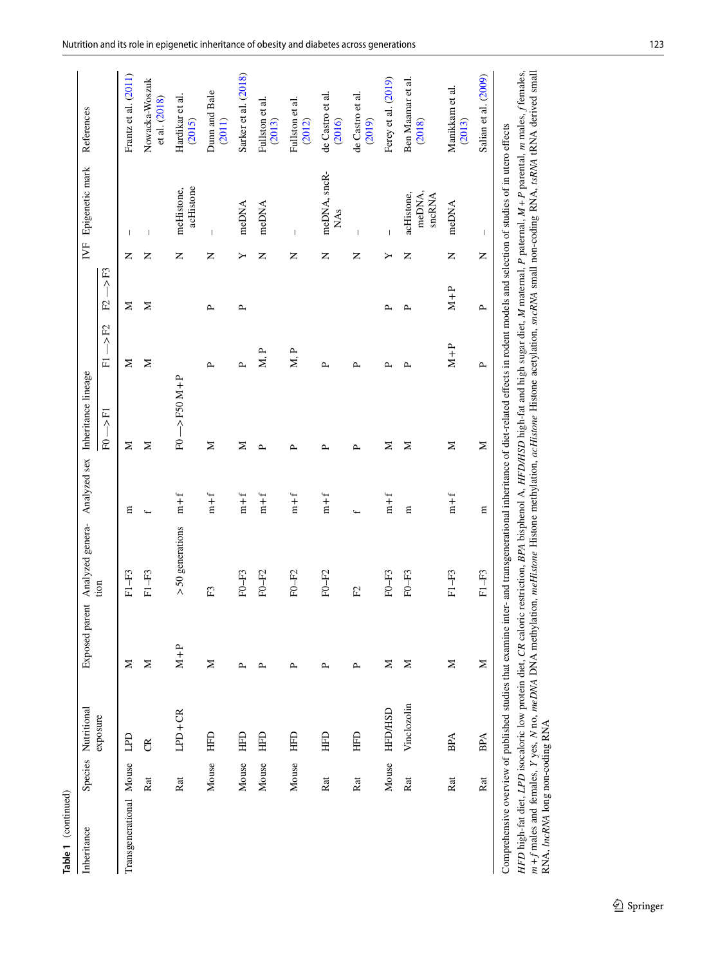| Table 1 (continued)             |       |                                 |                |                                                                                                                                                                                         |                |                                |              |              |   |                                |                                                                                                                                                                                                                                                                                                                                                                            |
|---------------------------------|-------|---------------------------------|----------------|-----------------------------------------------------------------------------------------------------------------------------------------------------------------------------------------|----------------|--------------------------------|--------------|--------------|---|--------------------------------|----------------------------------------------------------------------------------------------------------------------------------------------------------------------------------------------------------------------------------------------------------------------------------------------------------------------------------------------------------------------------|
| Inheritance                     |       | Species Nutritional<br>exposure | Exposed parent | Analyzed genera- Analyzed sex Inheritance lineage<br>tion                                                                                                                               |                | 三<br>一<br>E <sub>0</sub>       | $-$ >F2<br>匸 | CH<br>イ<br>E |   | IVF Epigenetic mark            | References                                                                                                                                                                                                                                                                                                                                                                 |
| Transgenerational Mouse         |       | LPD                             | Z              | $F1 - F3$                                                                                                                                                                               | 冒              | Σ                              | Σ            | Σ            | z | $\mathbf{I}$                   | Frantz et al. (2011)                                                                                                                                                                                                                                                                                                                                                       |
|                                 | Rat   | $\mathfrak{B}$                  | Σ              | $F1 - F3$                                                                                                                                                                               | $\overline{ }$ | Σ                              | Σ            | Σ            | z | $\overline{\phantom{a}}$       | Nowacka-Woszuk<br>et al. (2018)                                                                                                                                                                                                                                                                                                                                            |
|                                 | Rat   | $LPD+CR$                        | $M + P$        | $>50$ generations                                                                                                                                                                       | $m + f$        | $F0 \longrightarrow F50 M + P$ |              |              | z | acHistone<br>meHistone,        | Hardikar et al.<br>(2015)                                                                                                                                                                                                                                                                                                                                                  |
|                                 | Mouse | <b>GHH</b>                      | Σ              | E                                                                                                                                                                                       | $m + f$        | Σ                              | $\sim$       | $\sim$       | z | $\mathbf{I}$                   | Dunn and Bale<br>(2011)                                                                                                                                                                                                                                                                                                                                                    |
|                                 | Mouse | E                               | ≏              | $F0-F3$                                                                                                                                                                                 | $m + f$        | Σ                              | $\sim$       | $\sim$       | ≻ | meDNA                          | Sarker et al. (2018)                                                                                                                                                                                                                                                                                                                                                       |
|                                 | Mouse | E                               | ≏              | $F0-F2$                                                                                                                                                                                 | $m + f$        | ≏                              | M, P         |              | z | meDNA                          | Fullston et al.<br>(2013)                                                                                                                                                                                                                                                                                                                                                  |
|                                 | Mouse | EHE                             | ≏              | $F0-F2$                                                                                                                                                                                 | $m + f$        | ≏                              | M, P         |              | Z | $\overline{1}$                 | Fullston et al.<br>(2012)                                                                                                                                                                                                                                                                                                                                                  |
|                                 | Rat   | HFD                             | ≏              | $F0-F2$                                                                                                                                                                                 | $m + f$        | ≏                              | $\sim$       |              | z | meDNA, sncR-<br><b>NAs</b>     | de Castro et al.<br>(2016)                                                                                                                                                                                                                                                                                                                                                 |
|                                 | Rat   | HFD                             | $\mathbf{r}$   | E                                                                                                                                                                                       | $\overline{ }$ | $\sim$                         | $\sim$       |              | Z | $\overline{\phantom{a}}$       | de Castro et al.<br>(2019)                                                                                                                                                                                                                                                                                                                                                 |
|                                 | Mouse | <b>HFD/HSD</b>                  | Σ              | $F0-F3$                                                                                                                                                                                 | $m + f$        | Σ                              | ≏            | $\sim$       | ≻ | $\overline{\phantom{a}}$       | Ferey et al. (2019)                                                                                                                                                                                                                                                                                                                                                        |
|                                 | Rat   | Vinclozolin                     | Σ              | $F0 - F3$                                                                                                                                                                               | 目              | Σ                              | ≏            | ≏            | z | meDNA,<br>acHistone,<br>sncRNA | Ben Maamar et al.<br>(2018)                                                                                                                                                                                                                                                                                                                                                |
|                                 | Rat   | <b>BPA</b>                      | Σ              | $F1 - F3$                                                                                                                                                                               | $m + f$        | Σ                              | $M + P$      | $M + P$      | Z | meDNA                          | Manikkam et al.<br>(2013)                                                                                                                                                                                                                                                                                                                                                  |
|                                 | Rat   | <b>BPA</b>                      | Σ              | $F1 - F3$                                                                                                                                                                               | Ε              | $\geq$                         | $\sim$       | $\sim$       | Z | $\overline{\phantom{a}}$       | Salian et al. (2009)                                                                                                                                                                                                                                                                                                                                                       |
| RNA, lncRNA long non-coding RNA |       |                                 |                | Comprehensive overview of published studies that examine inter- and transgenerational inheritance of diet-related effects in rodent models and selection of studies of in utero effects |                |                                |              |              |   |                                | HFD high-fat diet, LPD isocaloric low protein diet, CR caloric restriction, BPA bisphenol A, HFD/HSD high-fat and high sugar diet, M maternal, P paternal, M + P parental, m males, f temales,<br>m + f males and females, Y yes, N no, meDNA DNA methylation, meHistone Histone methylation, acHistone acetylation, sncRNA small non-coding RNA, tsRNA tRNA derived small |

<sup>2</sup> Springer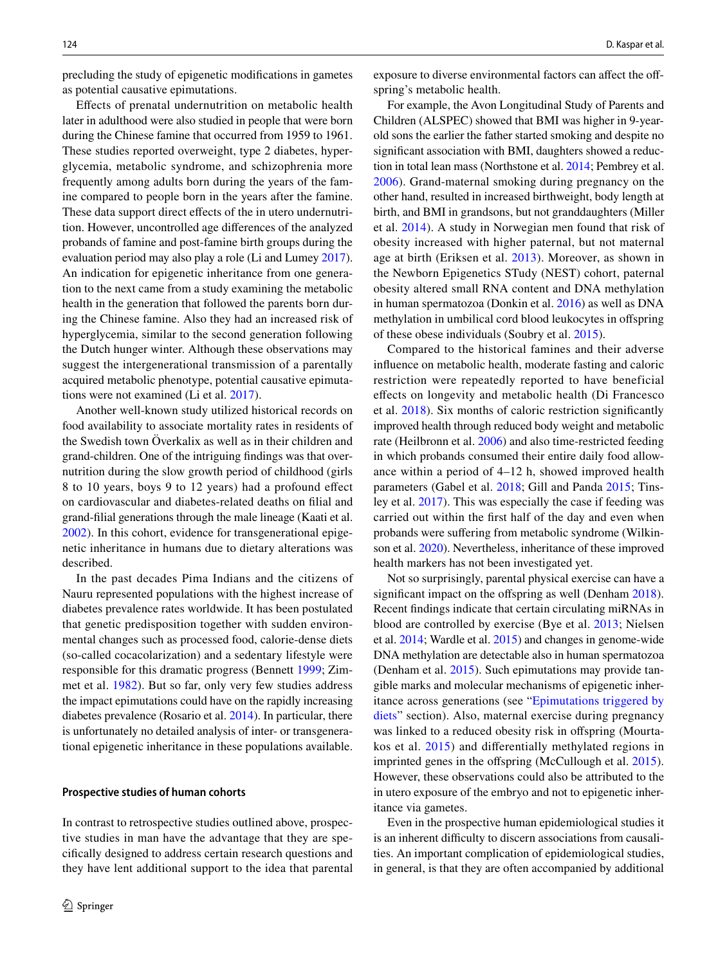precluding the study of epigenetic modifcations in gametes as potential causative epimutations.

Efects of prenatal undernutrition on metabolic health later in adulthood were also studied in people that were born during the Chinese famine that occurred from 1959 to 1961. These studies reported overweight, type 2 diabetes, hyperglycemia, metabolic syndrome, and schizophrenia more frequently among adults born during the years of the famine compared to people born in the years after the famine. These data support direct effects of the in utero undernutrition. However, uncontrolled age diferences of the analyzed probands of famine and post-famine birth groups during the evaluation period may also play a role (Li and Lumey [2017](#page-13-22)). An indication for epigenetic inheritance from one generation to the next came from a study examining the metabolic health in the generation that followed the parents born during the Chinese famine. Also they had an increased risk of hyperglycemia, similar to the second generation following the Dutch hunger winter. Although these observations may suggest the intergenerational transmission of a parentally acquired metabolic phenotype, potential causative epimutations were not examined (Li et al. [2017\)](#page-13-23).

Another well-known study utilized historical records on food availability to associate mortality rates in residents of the Swedish town Överkalix as well as in their children and grand-children. One of the intriguing fndings was that overnutrition during the slow growth period of childhood (girls 8 to 10 years, boys 9 to 12 years) had a profound efect on cardiovascular and diabetes-related deaths on flial and grand-flial generations through the male lineage (Kaati et al. [2002](#page-13-24)). In this cohort, evidence for transgenerational epigenetic inheritance in humans due to dietary alterations was described.

In the past decades Pima Indians and the citizens of Nauru represented populations with the highest increase of diabetes prevalence rates worldwide. It has been postulated that genetic predisposition together with sudden environmental changes such as processed food, calorie-dense diets (so-called cocacolarization) and a sedentary lifestyle were responsible for this dramatic progress (Bennett [1999;](#page-12-22) Zimmet et al. [1982\)](#page-14-19). But so far, only very few studies address the impact epimutations could have on the rapidly increasing diabetes prevalence (Rosario et al. [2014\)](#page-12-23). In particular, there is unfortunately no detailed analysis of inter- or transgenerational epigenetic inheritance in these populations available.

#### **Prospective studies of human cohorts**

In contrast to retrospective studies outlined above, prospective studies in man have the advantage that they are specifcally designed to address certain research questions and they have lent additional support to the idea that parental exposure to diverse environmental factors can affect the offspring's metabolic health.

For example, the Avon Longitudinal Study of Parents and Children (ALSPEC) showed that BMI was higher in 9-yearold sons the earlier the father started smoking and despite no signifcant association with BMI, daughters showed a reduction in total lean mass (Northstone et al. [2014;](#page-13-25) Pembrey et al. [2006\)](#page-14-20). Grand-maternal smoking during pregnancy on the other hand, resulted in increased birthweight, body length at birth, and BMI in grandsons, but not granddaughters (Miller et al. [2014\)](#page-13-26). A study in Norwegian men found that risk of obesity increased with higher paternal, but not maternal age at birth (Eriksen et al. [2013\)](#page-12-24). Moreover, as shown in the Newborn Epigenetics STudy (NEST) cohort, paternal obesity altered small RNA content and DNA methylation in human spermatozoa (Donkin et al. [2016](#page-12-25)) as well as DNA methylation in umbilical cord blood leukocytes in ofspring of these obese individuals (Soubry et al. [2015\)](#page-14-21).

Compared to the historical famines and their adverse infuence on metabolic health, moderate fasting and caloric restriction were repeatedly reported to have beneficial efects on longevity and metabolic health (Di Francesco et al. [2018](#page-12-26)). Six months of caloric restriction signifcantly improved health through reduced body weight and metabolic rate (Heilbronn et al. [2006\)](#page-13-27) and also time-restricted feeding in which probands consumed their entire daily food allowance within a period of 4–12 h, showed improved health parameters (Gabel et al. [2018](#page-12-27); Gill and Panda [2015](#page-12-28); Tinsley et al. [2017](#page-14-22)). This was especially the case if feeding was carried out within the frst half of the day and even when probands were suffering from metabolic syndrome (Wilkinson et al. [2020](#page-14-23)). Nevertheless, inheritance of these improved health markers has not been investigated yet.

Not so surprisingly, parental physical exercise can have a significant impact on the offspring as well (Denham [2018](#page-12-29)). Recent fndings indicate that certain circulating miRNAs in blood are controlled by exercise (Bye et al. [2013](#page-12-30); Nielsen et al. [2014](#page-13-28); Wardle et al. [2015](#page-14-24)) and changes in genome-wide DNA methylation are detectable also in human spermatozoa (Denham et al. [2015](#page-12-31)). Such epimutations may provide tangible marks and molecular mechanisms of epigenetic inheritance across generations (see ["Epimutations triggered by](#page-9-0) [diets"](#page-9-0) section). Also, maternal exercise during pregnancy was linked to a reduced obesity risk in offspring (Mourtakos et al. [2015](#page-13-29)) and diferentially methylated regions in imprinted genes in the offspring (McCullough et al. [2015](#page-13-30)). However, these observations could also be attributed to the in utero exposure of the embryo and not to epigenetic inheritance via gametes.

Even in the prospective human epidemiological studies it is an inherent difficulty to discern associations from causalities. An important complication of epidemiological studies, in general, is that they are often accompanied by additional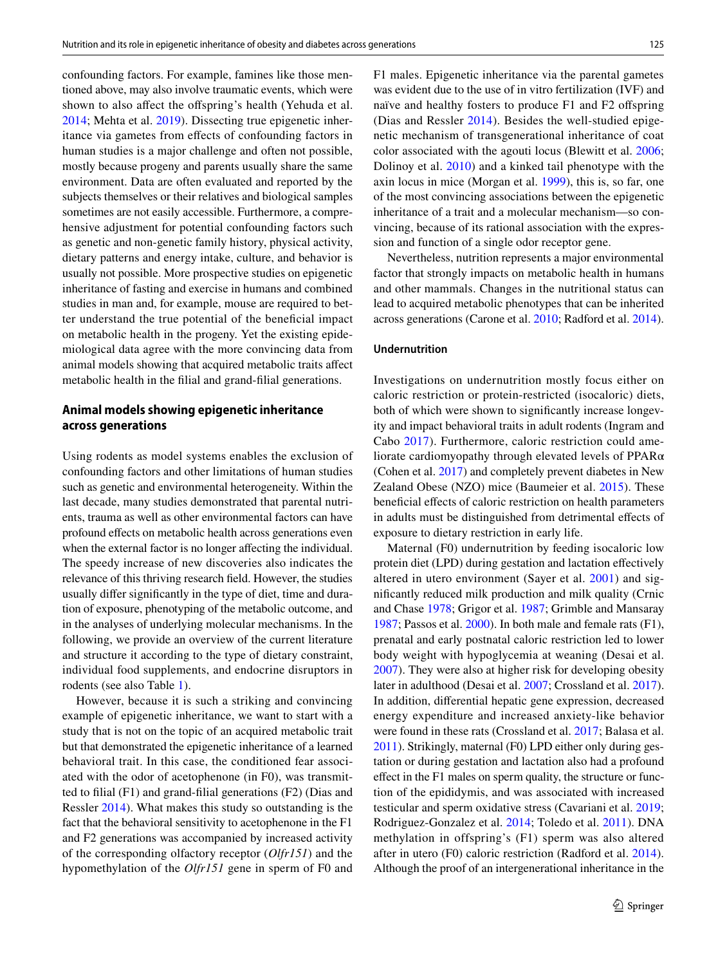confounding factors. For example, famines like those mentioned above, may also involve traumatic events, which were shown to also affect the offspring's health (Yehuda et al. [2014](#page-14-25); Mehta et al. [2019](#page-13-31)). Dissecting true epigenetic inheritance via gametes from efects of confounding factors in human studies is a major challenge and often not possible, mostly because progeny and parents usually share the same environment. Data are often evaluated and reported by the subjects themselves or their relatives and biological samples sometimes are not easily accessible. Furthermore, a comprehensive adjustment for potential confounding factors such as genetic and non-genetic family history, physical activity, dietary patterns and energy intake, culture, and behavior is usually not possible. More prospective studies on epigenetic inheritance of fasting and exercise in humans and combined studies in man and, for example, mouse are required to better understand the true potential of the benefcial impact on metabolic health in the progeny. Yet the existing epidemiological data agree with the more convincing data from animal models showing that acquired metabolic traits afect metabolic health in the flial and grand-flial generations.

# **Animal models showing epigenetic inheritance across generations**

Using rodents as model systems enables the exclusion of confounding factors and other limitations of human studies such as genetic and environmental heterogeneity. Within the last decade, many studies demonstrated that parental nutrients, trauma as well as other environmental factors can have profound efects on metabolic health across generations even when the external factor is no longer affecting the individual. The speedy increase of new discoveries also indicates the relevance of this thriving research feld. However, the studies usually difer signifcantly in the type of diet, time and duration of exposure, phenotyping of the metabolic outcome, and in the analyses of underlying molecular mechanisms. In the following, we provide an overview of the current literature and structure it according to the type of dietary constraint, individual food supplements, and endocrine disruptors in rodents (see also Table [1\)](#page-2-0).

However, because it is such a striking and convincing example of epigenetic inheritance, we want to start with a study that is not on the topic of an acquired metabolic trait but that demonstrated the epigenetic inheritance of a learned behavioral trait. In this case, the conditioned fear associated with the odor of acetophenone (in F0), was transmitted to flial (F1) and grand-flial generations (F2) (Dias and Ressler [2014](#page-12-32)). What makes this study so outstanding is the fact that the behavioral sensitivity to acetophenone in the F1 and F2 generations was accompanied by increased activity of the corresponding olfactory receptor (*Olfr151*) and the hypomethylation of the *Olfr151* gene in sperm of F0 and F1 males. Epigenetic inheritance via the parental gametes was evident due to the use of in vitro fertilization (IVF) and naïve and healthy fosters to produce F1 and F2 offspring (Dias and Ressler [2014\)](#page-12-32). Besides the well-studied epigenetic mechanism of transgenerational inheritance of coat color associated with the agouti locus (Blewitt et al. [2006](#page-12-33); Dolinoy et al. [2010](#page-12-34)) and a kinked tail phenotype with the axin locus in mice (Morgan et al. [1999\)](#page-13-32), this is, so far, one of the most convincing associations between the epigenetic inheritance of a trait and a molecular mechanism—so convincing, because of its rational association with the expression and function of a single odor receptor gene.

Nevertheless, nutrition represents a major environmental factor that strongly impacts on metabolic health in humans and other mammals. Changes in the nutritional status can lead to acquired metabolic phenotypes that can be inherited across generations (Carone et al. [2010](#page-12-10); Radford et al. [2014](#page-14-13)).

#### **Undernutrition**

Investigations on undernutrition mostly focus either on caloric restriction or protein-restricted (isocaloric) diets, both of which were shown to signifcantly increase longevity and impact behavioral traits in adult rodents (Ingram and Cabo [2017\)](#page-13-33). Furthermore, caloric restriction could ameliorate cardiomyopathy through elevated levels of PPARα (Cohen et al. [2017\)](#page-12-35) and completely prevent diabetes in New Zealand Obese (NZO) mice (Baumeier et al. [2015](#page-11-3)). These beneficial effects of caloric restriction on health parameters in adults must be distinguished from detrimental efects of exposure to dietary restriction in early life.

Maternal (F0) undernutrition by feeding isocaloric low protein diet (LPD) during gestation and lactation efectively altered in utero environment (Sayer et al. [2001\)](#page-14-6) and signifcantly reduced milk production and milk quality (Crnic and Chase [1978](#page-12-36); Grigor et al. [1987;](#page-12-37) Grimble and Mansaray [1987](#page-13-34); Passos et al. [2000](#page-14-7)). In both male and female rats (F1), prenatal and early postnatal caloric restriction led to lower body weight with hypoglycemia at weaning (Desai et al. [2007](#page-12-4)). They were also at higher risk for developing obesity later in adulthood (Desai et al. [2007](#page-12-4); Crossland et al. [2017](#page-12-5)). In addition, diferential hepatic gene expression, decreased energy expenditure and increased anxiety-like behavior were found in these rats (Crossland et al. [2017;](#page-12-5) Balasa et al. [2011\)](#page-11-0). Strikingly, maternal (F0) LPD either only during gestation or during gestation and lactation also had a profound effect in the F1 males on sperm quality, the structure or function of the epididymis, and was associated with increased testicular and sperm oxidative stress (Cavariani et al. [2019](#page-12-6); Rodriguez-Gonzalez et al. [2014](#page-14-8); Toledo et al. [2011](#page-14-9)). DNA methylation in offspring's (F1) sperm was also altered after in utero (F0) caloric restriction (Radford et al. [2014](#page-14-13)). Although the proof of an intergenerational inheritance in the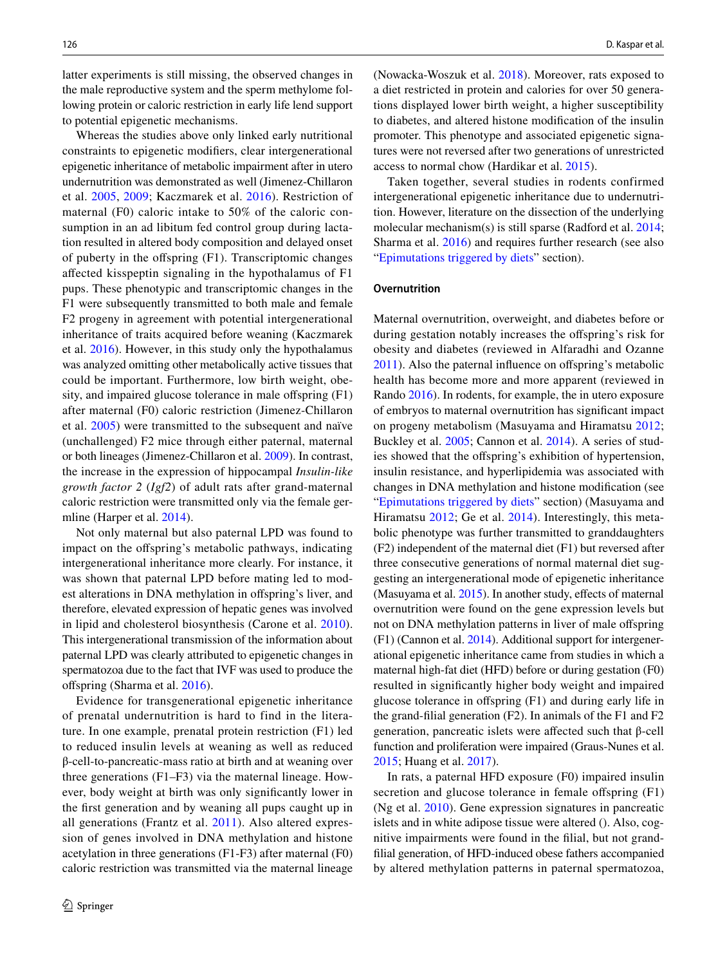latter experiments is still missing, the observed changes in the male reproductive system and the sperm methylome following protein or caloric restriction in early life lend support to potential epigenetic mechanisms.

Whereas the studies above only linked early nutritional constraints to epigenetic modifers, clear intergenerational epigenetic inheritance of metabolic impairment after in utero undernutrition was demonstrated as well (Jimenez-Chillaron et al. [2005,](#page-13-7) [2009;](#page-13-9) Kaczmarek et al. [2016\)](#page-13-10). Restriction of maternal (F0) caloric intake to 50% of the caloric consumption in an ad libitum fed control group during lactation resulted in altered body composition and delayed onset of puberty in the ofspring (F1). Transcriptomic changes afected kisspeptin signaling in the hypothalamus of F1 pups. These phenotypic and transcriptomic changes in the F1 were subsequently transmitted to both male and female F2 progeny in agreement with potential intergenerational inheritance of traits acquired before weaning (Kaczmarek et al. [2016\)](#page-13-10). However, in this study only the hypothalamus was analyzed omitting other metabolically active tissues that could be important. Furthermore, low birth weight, obesity, and impaired glucose tolerance in male offspring (F1) after maternal (F0) caloric restriction (Jimenez-Chillaron et al. [2005](#page-13-7)) were transmitted to the subsequent and naïve (unchallenged) F2 mice through either paternal, maternal or both lineages (Jimenez-Chillaron et al. [2009\)](#page-13-9). In contrast, the increase in the expression of hippocampal *Insulin-like growth factor 2* (*Igf2*) of adult rats after grand-maternal caloric restriction were transmitted only via the female germline (Harper et al. [2014\)](#page-13-11).

Not only maternal but also paternal LPD was found to impact on the ofspring's metabolic pathways, indicating intergenerational inheritance more clearly. For instance, it was shown that paternal LPD before mating led to modest alterations in DNA methylation in offspring's liver, and therefore, elevated expression of hepatic genes was involved in lipid and cholesterol biosynthesis (Carone et al. [2010](#page-12-10)). This intergenerational transmission of the information about paternal LPD was clearly attributed to epigenetic changes in spermatozoa due to the fact that IVF was used to produce the ofspring (Sharma et al. [2016](#page-14-14)).

Evidence for transgenerational epigenetic inheritance of prenatal undernutrition is hard to find in the literature. In one example, prenatal protein restriction (F1) led to reduced insulin levels at weaning as well as reduced β-cell-to-pancreatic-mass ratio at birth and at weaning over three generations (F1–F3) via the maternal lineage. However, body weight at birth was only signifcantly lower in the frst generation and by weaning all pups caught up in all generations (Frantz et al. [2011\)](#page-12-15). Also altered expression of genes involved in DNA methylation and histone acetylation in three generations (F1-F3) after maternal (F0) caloric restriction was transmitted via the maternal lineage

(Nowacka-Woszuk et al. [2018\)](#page-13-19). Moreover, rats exposed to a diet restricted in protein and calories for over 50 generations displayed lower birth weight, a higher susceptibility to diabetes, and altered histone modifcation of the insulin promoter. This phenotype and associated epigenetic signatures were not reversed after two generations of unrestricted access to normal chow (Hardikar et al. [2015\)](#page-13-20).

Taken together, several studies in rodents confirmed intergenerational epigenetic inheritance due to undernutrition. However, literature on the dissection of the underlying molecular mechanism(s) is still sparse (Radford et al. [2014](#page-14-13); Sharma et al. [2016\)](#page-14-14) and requires further research (see also "[Epimutations triggered by diets](#page-9-0)" section).

#### **Overnutrition**

Maternal overnutrition, overweight, and diabetes before or during gestation notably increases the offspring's risk for obesity and diabetes (reviewed in Alfaradhi and Ozanne [2011](#page-11-4)). Also the paternal infuence on ofspring's metabolic health has become more and more apparent (reviewed in Rando [2016\)](#page-14-26). In rodents, for example, the in utero exposure of embryos to maternal overnutrition has signifcant impact on progeny metabolism (Masuyama and Hiramatsu [2012](#page-13-8); Buckley et al. [2005](#page-12-7); Cannon et al. [2014\)](#page-12-8). A series of studies showed that the ofspring's exhibition of hypertension, insulin resistance, and hyperlipidemia was associated with changes in DNA methylation and histone modifcation (see "[Epimutations triggered by diets"](#page-9-0) section) (Masuyama and Hiramatsu [2012](#page-13-8); Ge et al. [2014\)](#page-12-9). Interestingly, this metabolic phenotype was further transmitted to granddaughters (F2) independent of the maternal diet (F1) but reversed after three consecutive generations of normal maternal diet suggesting an intergenerational mode of epigenetic inheritance (Masuyama et al. [2015\)](#page-13-12). In another study, effects of maternal overnutrition were found on the gene expression levels but not on DNA methylation patterns in liver of male ofspring (F1) (Cannon et al. [2014\)](#page-12-8). Additional support for intergenerational epigenetic inheritance came from studies in which a maternal high-fat diet (HFD) before or during gestation (F0) resulted in signifcantly higher body weight and impaired glucose tolerance in ofspring (F1) and during early life in the grand-flial generation (F2). In animals of the F1 and F2 generation, pancreatic islets were afected such that β-cell function and proliferation were impaired (Graus-Nunes et al. [2015](#page-12-11); Huang et al. [2017](#page-13-13)).

In rats, a paternal HFD exposure (F0) impaired insulin secretion and glucose tolerance in female offspring (F1) (Ng et al. [2010](#page-13-14)). Gene expression signatures in pancreatic islets and in white adipose tissue were altered (). Also, cognitive impairments were found in the flial, but not grandflial generation, of HFD-induced obese fathers accompanied by altered methylation patterns in paternal spermatozoa,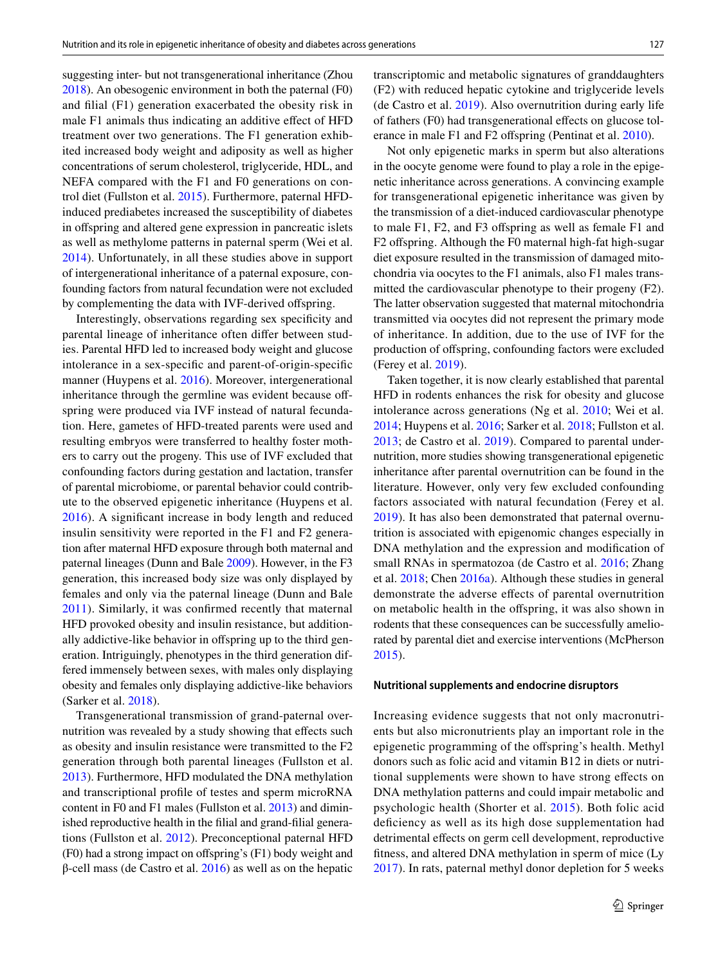suggesting inter- but not transgenerational inheritance (Zhou [2018\)](#page-14-27). An obesogenic environment in both the paternal (F0) and flial (F1) generation exacerbated the obesity risk in male F1 animals thus indicating an additive efect of HFD treatment over two generations. The F1 generation exhibited increased body weight and adiposity as well as higher concentrations of serum cholesterol, triglyceride, HDL, and NEFA compared with the F1 and F0 generations on control diet (Fullston et al. [2015](#page-12-12)). Furthermore, paternal HFDinduced prediabetes increased the susceptibility of diabetes in ofspring and altered gene expression in pancreatic islets as well as methylome patterns in paternal sperm (Wei et al. [2014](#page-14-15)). Unfortunately, in all these studies above in support of intergenerational inheritance of a paternal exposure, confounding factors from natural fecundation were not excluded by complementing the data with IVF-derived offspring.

Interestingly, observations regarding sex specifcity and parental lineage of inheritance often difer between studies. Parental HFD led to increased body weight and glucose intolerance in a sex-specifc and parent-of-origin-specifc manner (Huypens et al. [2016](#page-13-16)). Moreover, intergenerational inheritance through the germline was evident because offspring were produced via IVF instead of natural fecundation. Here, gametes of HFD-treated parents were used and resulting embryos were transferred to healthy foster mothers to carry out the progeny. This use of IVF excluded that confounding factors during gestation and lactation, transfer of parental microbiome, or parental behavior could contribute to the observed epigenetic inheritance (Huypens et al. [2016\)](#page-13-16). A signifcant increase in body length and reduced insulin sensitivity were reported in the F1 and F2 generation after maternal HFD exposure through both maternal and paternal lineages (Dunn and Bale [2009\)](#page-12-13). However, in the F3 generation, this increased body size was only displayed by females and only via the paternal lineage (Dunn and Bale [2011\)](#page-12-16). Similarly, it was confrmed recently that maternal HFD provoked obesity and insulin resistance, but additionally addictive-like behavior in ofspring up to the third generation. Intriguingly, phenotypes in the third generation differed immensely between sexes, with males only displaying obesity and females only displaying addictive-like behaviors (Sarker et al. [2018](#page-14-17)).

Transgenerational transmission of grand-paternal overnutrition was revealed by a study showing that effects such as obesity and insulin resistance were transmitted to the F2 generation through both parental lineages (Fullston et al. [2013](#page-12-17)). Furthermore, HFD modulated the DNA methylation and transcriptional profle of testes and sperm microRNA content in F0 and F1 males (Fullston et al. [2013](#page-12-17)) and diminished reproductive health in the flial and grand-flial generations (Fullston et al. [2012](#page-12-18)). Preconceptional paternal HFD (F0) had a strong impact on ofspring's (F1) body weight and  $β$ -cell mass (de Castro et al. [2016](#page-12-19)) as well as on the hepatic transcriptomic and metabolic signatures of granddaughters (F2) with reduced hepatic cytokine and triglyceride levels (de Castro et al. [2019](#page-12-20)). Also overnutrition during early life of fathers (F0) had transgenerational efects on glucose tol-erance in male F1 and F2 offspring (Pentinat et al. [2010\)](#page-14-28).

Not only epigenetic marks in sperm but also alterations in the oocyte genome were found to play a role in the epigenetic inheritance across generations. A convincing example for transgenerational epigenetic inheritance was given by the transmission of a diet-induced cardiovascular phenotype to male F1, F2, and F3 ofspring as well as female F1 and F2 ofspring. Although the F0 maternal high-fat high-sugar diet exposure resulted in the transmission of damaged mitochondria via oocytes to the F1 animals, also F1 males transmitted the cardiovascular phenotype to their progeny (F2). The latter observation suggested that maternal mitochondria transmitted via oocytes did not represent the primary mode of inheritance. In addition, due to the use of IVF for the production of ofspring, confounding factors were excluded (Ferey et al. [2019\)](#page-12-21).

Taken together, it is now clearly established that parental HFD in rodents enhances the risk for obesity and glucose intolerance across generations (Ng et al. [2010](#page-13-14); Wei et al. [2014](#page-14-15); Huypens et al. [2016](#page-13-16); Sarker et al. [2018](#page-14-17); Fullston et al. [2013](#page-12-17); de Castro et al. [2019](#page-12-20)). Compared to parental undernutrition, more studies showing transgenerational epigenetic inheritance after parental overnutrition can be found in the literature. However, only very few excluded confounding factors associated with natural fecundation (Ferey et al. [2019](#page-12-21)). It has also been demonstrated that paternal overnutrition is associated with epigenomic changes especially in DNA methylation and the expression and modifcation of small RNAs in spermatozoa (de Castro et al. [2016;](#page-12-19) Zhang et al. [2018](#page-14-29); Chen [2016a\)](#page-12-38). Although these studies in general demonstrate the adverse efects of parental overnutrition on metabolic health in the ofspring, it was also shown in rodents that these consequences can be successfully ameliorated by parental diet and exercise interventions (McPherson [2015](#page-13-35)).

#### **Nutritional supplements and endocrine disruptors**

Increasing evidence suggests that not only macronutrients but also micronutrients play an important role in the epigenetic programming of the ofspring's health. Methyl donors such as folic acid and vitamin B12 in diets or nutritional supplements were shown to have strong efects on DNA methylation patterns and could impair metabolic and psychologic health (Shorter et al. [2015\)](#page-14-30). Both folic acid defciency as well as its high dose supplementation had detrimental effects on germ cell development, reproductive ftness, and altered DNA methylation in sperm of mice (Ly [2017\)](#page-13-17). In rats, paternal methyl donor depletion for 5 weeks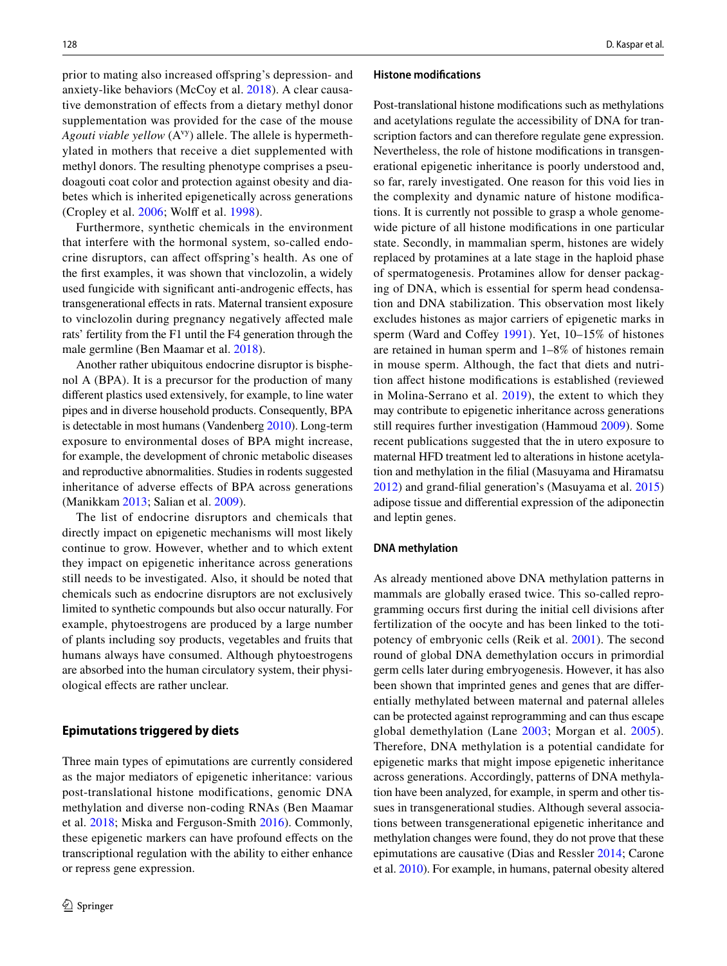prior to mating also increased ofspring's depression- and anxiety-like behaviors (McCoy et al. [2018\)](#page-13-18). A clear causative demonstration of efects from a dietary methyl donor supplementation was provided for the case of the mouse *Agouti viable yellow* (A<sup>vy</sup>) allele. The allele is hypermethylated in mothers that receive a diet supplemented with methyl donors. The resulting phenotype comprises a pseudoagouti coat color and protection against obesity and diabetes which is inherited epigenetically across generations (Cropley et al. [2006](#page-12-14); Wolf et al. [1998](#page-14-10)).

Furthermore, synthetic chemicals in the environment that interfere with the hormonal system, so-called endocrine disruptors, can afect ofspring's health. As one of the frst examples, it was shown that vinclozolin, a widely used fungicide with signifcant anti-androgenic efects, has transgenerational efects in rats. Maternal transient exposure to vinclozolin during pregnancy negatively afected male rats' fertility from the F1 until the F4 generation through the male germline (Ben Maamar et al. [2018\)](#page-11-2).

Another rather ubiquitous endocrine disruptor is bisphenol A (BPA). It is a precursor for the production of many diferent plastics used extensively, for example, to line water pipes and in diverse household products. Consequently, BPA is detectable in most humans (Vandenberg [2010\)](#page-14-31). Long-term exposure to environmental doses of BPA might increase, for example, the development of chronic metabolic diseases and reproductive abnormalities. Studies in rodents suggested inheritance of adverse efects of BPA across generations (Manikkam [2013;](#page-13-21) Salian et al. [2009\)](#page-14-18).

The list of endocrine disruptors and chemicals that directly impact on epigenetic mechanisms will most likely continue to grow. However, whether and to which extent they impact on epigenetic inheritance across generations still needs to be investigated. Also, it should be noted that chemicals such as endocrine disruptors are not exclusively limited to synthetic compounds but also occur naturally. For example, phytoestrogens are produced by a large number of plants including soy products, vegetables and fruits that humans always have consumed. Although phytoestrogens are absorbed into the human circulatory system, their physiological efects are rather unclear.

#### <span id="page-9-0"></span>**Epimutations triggered by diets**

Three main types of epimutations are currently considered as the major mediators of epigenetic inheritance: various post-translational histone modifications, genomic DNA methylation and diverse non-coding RNAs (Ben Maamar et al. [2018;](#page-11-2) Miska and Ferguson-Smith [2016](#page-13-36)). Commonly, these epigenetic markers can have profound efects on the transcriptional regulation with the ability to either enhance or repress gene expression.

#### **Histone modifcations**

Post-translational histone modifcations such as methylations and acetylations regulate the accessibility of DNA for transcription factors and can therefore regulate gene expression. Nevertheless, the role of histone modifcations in transgenerational epigenetic inheritance is poorly understood and, so far, rarely investigated. One reason for this void lies in the complexity and dynamic nature of histone modifcations. It is currently not possible to grasp a whole genomewide picture of all histone modifcations in one particular state. Secondly, in mammalian sperm, histones are widely replaced by protamines at a late stage in the haploid phase of spermatogenesis. Protamines allow for denser packaging of DNA, which is essential for sperm head condensation and DNA stabilization. This observation most likely excludes histones as major carriers of epigenetic marks in sperm (Ward and Coffey  $1991$ ). Yet,  $10-15\%$  of histones are retained in human sperm and 1–8% of histones remain in mouse sperm. Although, the fact that diets and nutrition afect histone modifcations is established (reviewed in Molina-Serrano et al. [2019](#page-13-37)), the extent to which they may contribute to epigenetic inheritance across generations still requires further investigation (Hammoud [2009\)](#page-13-38). Some recent publications suggested that the in utero exposure to maternal HFD treatment led to alterations in histone acetylation and methylation in the flial (Masuyama and Hiramatsu [2012](#page-13-8)) and grand-flial generation's (Masuyama et al. [2015\)](#page-13-12) adipose tissue and diferential expression of the adiponectin and leptin genes.

#### **DNA methylation**

As already mentioned above DNA methylation patterns in mammals are globally erased twice. This so-called reprogramming occurs frst during the initial cell divisions after fertilization of the oocyte and has been linked to the totipotency of embryonic cells (Reik et al. [2001\)](#page-14-33). The second round of global DNA demethylation occurs in primordial germ cells later during embryogenesis. However, it has also been shown that imprinted genes and genes that are diferentially methylated between maternal and paternal alleles can be protected against reprogramming and can thus escape global demethylation (Lane [2003;](#page-13-39) Morgan et al. [2005](#page-13-40)). Therefore, DNA methylation is a potential candidate for epigenetic marks that might impose epigenetic inheritance across generations. Accordingly, patterns of DNA methylation have been analyzed, for example, in sperm and other tissues in transgenerational studies. Although several associations between transgenerational epigenetic inheritance and methylation changes were found, they do not prove that these epimutations are causative (Dias and Ressler [2014;](#page-12-32) Carone et al. [2010\)](#page-12-10). For example, in humans, paternal obesity altered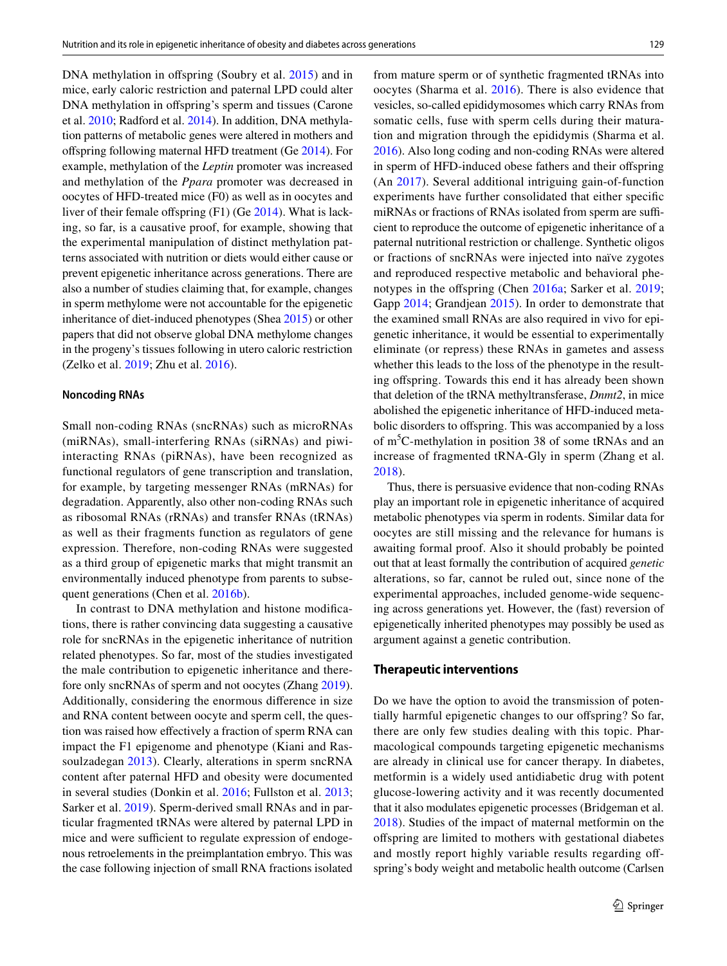DNA methylation in offspring (Soubry et al. [2015](#page-14-21)) and in mice, early caloric restriction and paternal LPD could alter DNA methylation in offspring's sperm and tissues (Carone et al. [2010](#page-12-10); Radford et al. [2014\)](#page-14-13). In addition, DNA methylation patterns of metabolic genes were altered in mothers and ofspring following maternal HFD treatment (Ge [2014](#page-12-9)). For example, methylation of the *Leptin* promoter was increased and methylation of the *Ppara* promoter was decreased in oocytes of HFD-treated mice (F0) as well as in oocytes and liver of their female offspring (F1) (Ge [2014](#page-12-9)). What is lacking, so far, is a causative proof, for example, showing that the experimental manipulation of distinct methylation patterns associated with nutrition or diets would either cause or prevent epigenetic inheritance across generations. There are also a number of studies claiming that, for example, changes in sperm methylome were not accountable for the epigenetic inheritance of diet-induced phenotypes (Shea [2015\)](#page-14-34) or other papers that did not observe global DNA methylome changes in the progeny's tissues following in utero caloric restriction (Zelko et al. [2019](#page-14-11); Zhu et al. [2016](#page-14-12)).

#### **Noncoding RNAs**

Small non-coding RNAs (sncRNAs) such as microRNAs (miRNAs), small-interfering RNAs (siRNAs) and piwiinteracting RNAs (piRNAs), have been recognized as functional regulators of gene transcription and translation, for example, by targeting messenger RNAs (mRNAs) for degradation. Apparently, also other non-coding RNAs such as ribosomal RNAs (rRNAs) and transfer RNAs (tRNAs) as well as their fragments function as regulators of gene expression. Therefore, non-coding RNAs were suggested as a third group of epigenetic marks that might transmit an environmentally induced phenotype from parents to subsequent generations (Chen et al. [2016b](#page-12-39)).

In contrast to DNA methylation and histone modifcations, there is rather convincing data suggesting a causative role for sncRNAs in the epigenetic inheritance of nutrition related phenotypes. So far, most of the studies investigated the male contribution to epigenetic inheritance and therefore only sncRNAs of sperm and not oocytes (Zhang [2019](#page-14-35)). Additionally, considering the enormous diference in size and RNA content between oocyte and sperm cell, the question was raised how efectively a fraction of sperm RNA can impact the F1 epigenome and phenotype (Kiani and Rassoulzadegan [2013](#page-13-41)). Clearly, alterations in sperm sncRNA content after paternal HFD and obesity were documented in several studies (Donkin et al. [2016](#page-12-25); Fullston et al. [2013](#page-12-17); Sarker et al. [2019](#page-14-16)). Sperm-derived small RNAs and in particular fragmented tRNAs were altered by paternal LPD in mice and were sufficient to regulate expression of endogenous retroelements in the preimplantation embryo. This was the case following injection of small RNA fractions isolated from mature sperm or of synthetic fragmented tRNAs into oocytes (Sharma et al. [2016](#page-14-14)). There is also evidence that vesicles, so-called epididymosomes which carry RNAs from somatic cells, fuse with sperm cells during their maturation and migration through the epididymis (Sharma et al. [2016](#page-14-14)). Also long coding and non-coding RNAs were altered in sperm of HFD-induced obese fathers and their ofspring (An [2017\)](#page-11-1). Several additional intriguing gain-of-function experiments have further consolidated that either specifc miRNAs or fractions of RNAs isolated from sperm are sufficient to reproduce the outcome of epigenetic inheritance of a paternal nutritional restriction or challenge. Synthetic oligos or fractions of sncRNAs were injected into naïve zygotes and reproduced respective metabolic and behavioral phe-notypes in the offspring (Chen [2016a;](#page-12-38) Sarker et al. [2019](#page-14-16); Gapp [2014](#page-12-40); Grandjean [2015\)](#page-12-41). In order to demonstrate that the examined small RNAs are also required in vivo for epigenetic inheritance, it would be essential to experimentally eliminate (or repress) these RNAs in gametes and assess whether this leads to the loss of the phenotype in the resulting offspring. Towards this end it has already been shown that deletion of the tRNA methyltransferase, *Dnmt2*, in mice abolished the epigenetic inheritance of HFD-induced metabolic disorders to ofspring. This was accompanied by a loss of m<sup>5</sup>C-methylation in position 38 of some tRNAs and an increase of fragmented tRNA-Gly in sperm (Zhang et al. [2018](#page-14-29)).

Thus, there is persuasive evidence that non-coding RNAs play an important role in epigenetic inheritance of acquired metabolic phenotypes via sperm in rodents. Similar data for oocytes are still missing and the relevance for humans is awaiting formal proof. Also it should probably be pointed out that at least formally the contribution of acquired *genetic* alterations, so far, cannot be ruled out, since none of the experimental approaches, included genome-wide sequencing across generations yet. However, the (fast) reversion of epigenetically inherited phenotypes may possibly be used as argument against a genetic contribution.

### **Therapeutic interventions**

Do we have the option to avoid the transmission of potentially harmful epigenetic changes to our ofspring? So far, there are only few studies dealing with this topic. Pharmacological compounds targeting epigenetic mechanisms are already in clinical use for cancer therapy. In diabetes, metformin is a widely used antidiabetic drug with potent glucose-lowering activity and it was recently documented that it also modulates epigenetic processes (Bridgeman et al. [2018](#page-12-42)). Studies of the impact of maternal metformin on the ofspring are limited to mothers with gestational diabetes and mostly report highly variable results regarding offspring's body weight and metabolic health outcome (Carlsen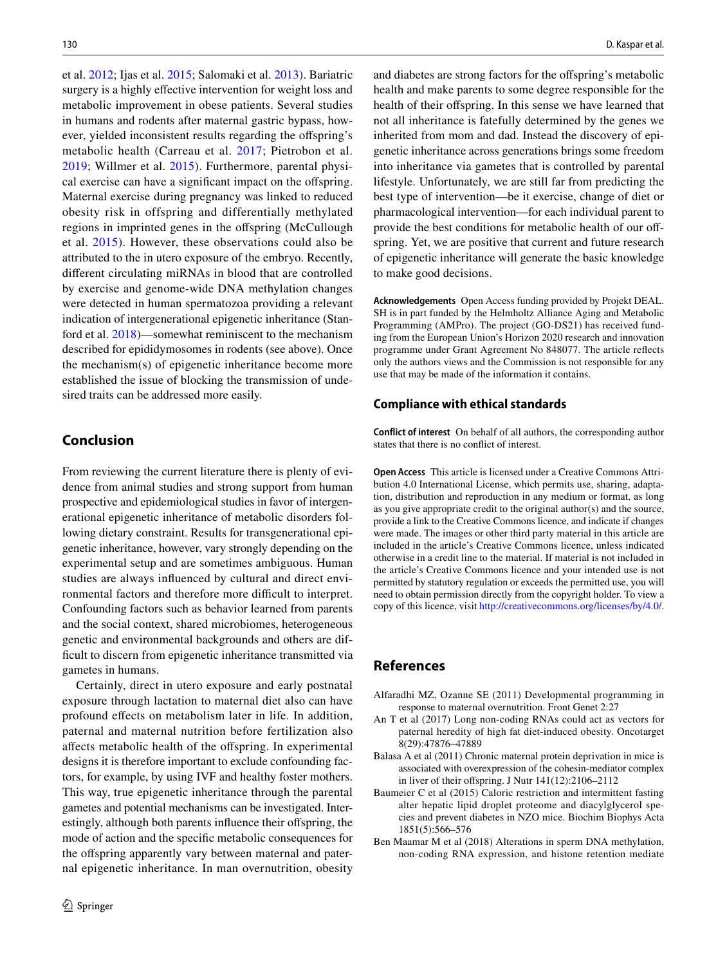et al. [2012](#page-12-43); Ijas et al. [2015](#page-13-42); Salomaki et al. [2013](#page-14-36)). Bariatric surgery is a highly effective intervention for weight loss and metabolic improvement in obese patients. Several studies in humans and rodents after maternal gastric bypass, however, yielded inconsistent results regarding the offspring's metabolic health (Carreau et al. [2017](#page-12-44); Pietrobon et al. [2019;](#page-14-37) Willmer et al. [2015\)](#page-14-38). Furthermore, parental physical exercise can have a signifcant impact on the ofspring. Maternal exercise during pregnancy was linked to reduced obesity risk in offspring and differentially methylated regions in imprinted genes in the offspring (McCullough et al. [2015\)](#page-13-30). However, these observations could also be attributed to the in utero exposure of the embryo. Recently, diferent circulating miRNAs in blood that are controlled by exercise and genome-wide DNA methylation changes were detected in human spermatozoa providing a relevant indication of intergenerational epigenetic inheritance (Stanford et al. [2018](#page-14-39))—somewhat reminiscent to the mechanism described for epididymosomes in rodents (see above). Once the mechanism(s) of epigenetic inheritance become more established the issue of blocking the transmission of undesired traits can be addressed more easily.

# **Conclusion**

From reviewing the current literature there is plenty of evidence from animal studies and strong support from human prospective and epidemiological studies in favor of intergenerational epigenetic inheritance of metabolic disorders following dietary constraint. Results for transgenerational epigenetic inheritance, however, vary strongly depending on the experimental setup and are sometimes ambiguous. Human studies are always infuenced by cultural and direct environmental factors and therefore more difficult to interpret. Confounding factors such as behavior learned from parents and the social context, shared microbiomes, heterogeneous genetic and environmental backgrounds and others are difficult to discern from epigenetic inheritance transmitted via gametes in humans.

Certainly, direct in utero exposure and early postnatal exposure through lactation to maternal diet also can have profound efects on metabolism later in life. In addition, paternal and maternal nutrition before fertilization also afects metabolic health of the ofspring. In experimental designs it is therefore important to exclude confounding factors, for example, by using IVF and healthy foster mothers. This way, true epigenetic inheritance through the parental gametes and potential mechanisms can be investigated. Interestingly, although both parents influence their offspring, the mode of action and the specifc metabolic consequences for the ofspring apparently vary between maternal and paternal epigenetic inheritance. In man overnutrition, obesity and diabetes are strong factors for the ofspring's metabolic health and make parents to some degree responsible for the health of their offspring. In this sense we have learned that not all inheritance is fatefully determined by the genes we inherited from mom and dad. Instead the discovery of epigenetic inheritance across generations brings some freedom into inheritance via gametes that is controlled by parental lifestyle. Unfortunately, we are still far from predicting the best type of intervention—be it exercise, change of diet or pharmacological intervention—for each individual parent to provide the best conditions for metabolic health of our offspring. Yet, we are positive that current and future research of epigenetic inheritance will generate the basic knowledge to make good decisions.

**Acknowledgements** Open Access funding provided by Projekt DEAL. SH is in part funded by the Helmholtz Alliance Aging and Metabolic Programming (AMPro). The project (GO-DS21) has received funding from the European Union's Horizon 2020 research and innovation programme under Grant Agreement No 848077. The article refects only the authors views and the Commission is not responsible for any use that may be made of the information it contains.

## **Compliance with ethical standards**

**Conflict of interest** On behalf of all authors, the corresponding author states that there is no confict of interest.

**Open Access** This article is licensed under a Creative Commons Attribution 4.0 International License, which permits use, sharing, adaptation, distribution and reproduction in any medium or format, as long as you give appropriate credit to the original author(s) and the source, provide a link to the Creative Commons licence, and indicate if changes were made. The images or other third party material in this article are included in the article's Creative Commons licence, unless indicated otherwise in a credit line to the material. If material is not included in the article's Creative Commons licence and your intended use is not permitted by statutory regulation or exceeds the permitted use, you will need to obtain permission directly from the copyright holder. To view a copy of this licence, visit<http://creativecommons.org/licenses/by/4.0/>.

# **References**

- <span id="page-11-4"></span>Alfaradhi MZ, Ozanne SE (2011) Developmental programming in response to maternal overnutrition. Front Genet 2:27
- <span id="page-11-1"></span>An T et al (2017) Long non-coding RNAs could act as vectors for paternal heredity of high fat diet-induced obesity. Oncotarget 8(29):47876–47889
- <span id="page-11-0"></span>Balasa A et al (2011) Chronic maternal protein deprivation in mice is associated with overexpression of the cohesin-mediator complex in liver of their offspring. J Nutr  $141(12):2106-2112$
- <span id="page-11-3"></span>Baumeier C et al (2015) Caloric restriction and intermittent fasting alter hepatic lipid droplet proteome and diacylglycerol species and prevent diabetes in NZO mice. Biochim Biophys Acta 1851(5):566–576
- <span id="page-11-2"></span>Ben Maamar M et al (2018) Alterations in sperm DNA methylation, non-coding RNA expression, and histone retention mediate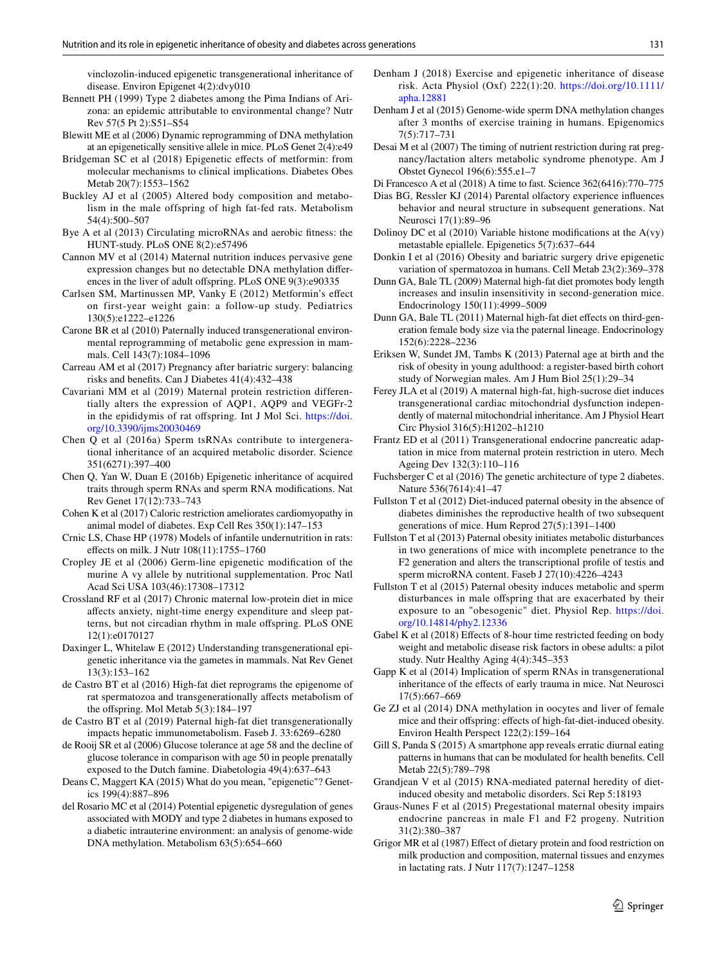vinclozolin-induced epigenetic transgenerational inheritance of disease. Environ Epigenet 4(2):dvy010

- <span id="page-12-22"></span>Bennett PH (1999) Type 2 diabetes among the Pima Indians of Arizona: an epidemic attributable to environmental change? Nutr Rev 57(5 Pt 2):S51–S54
- <span id="page-12-33"></span>Blewitt ME et al (2006) Dynamic reprogramming of DNA methylation at an epigenetically sensitive allele in mice. PLoS Genet 2(4):e49
- <span id="page-12-42"></span>Bridgeman SC et al (2018) Epigenetic effects of metformin: from molecular mechanisms to clinical implications. Diabetes Obes Metab 20(7):1553–1562
- <span id="page-12-7"></span>Buckley AJ et al (2005) Altered body composition and metabolism in the male offspring of high fat-fed rats. Metabolism 54(4):500–507
- <span id="page-12-30"></span>Bye A et al (2013) Circulating microRNAs and aerobic ftness: the HUNT-study. PLoS ONE 8(2):e57496
- <span id="page-12-8"></span>Cannon MV et al (2014) Maternal nutrition induces pervasive gene expression changes but no detectable DNA methylation diferences in the liver of adult offspring. PLoS ONE 9(3):e90335
- <span id="page-12-43"></span>Carlsen SM, Martinussen MP, Vanky E (2012) Metformin's efect on first-year weight gain: a follow-up study. Pediatrics 130(5):e1222–e1226
- <span id="page-12-10"></span>Carone BR et al (2010) Paternally induced transgenerational environmental reprogramming of metabolic gene expression in mammals. Cell 143(7):1084–1096
- <span id="page-12-44"></span>Carreau AM et al (2017) Pregnancy after bariatric surgery: balancing risks and benefts. Can J Diabetes 41(4):432–438
- <span id="page-12-6"></span>Cavariani MM et al (2019) Maternal protein restriction differentially alters the expression of AQP1, AQP9 and VEGFr-2 in the epididymis of rat ofspring. Int J Mol Sci. [https://doi.](https://doi.org/10.3390/ijms20030469) [org/10.3390/ijms20030469](https://doi.org/10.3390/ijms20030469)
- <span id="page-12-38"></span>Chen Q et al (2016a) Sperm tsRNAs contribute to intergenerational inheritance of an acquired metabolic disorder. Science 351(6271):397–400
- <span id="page-12-39"></span>Chen Q, Yan W, Duan E (2016b) Epigenetic inheritance of acquired traits through sperm RNAs and sperm RNA modifcations. Nat Rev Genet 17(12):733–743
- <span id="page-12-35"></span>Cohen K et al (2017) Caloric restriction ameliorates cardiomyopathy in animal model of diabetes. Exp Cell Res 350(1):147–153
- <span id="page-12-36"></span>Crnic LS, Chase HP (1978) Models of infantile undernutrition in rats: efects on milk. J Nutr 108(11):1755–1760
- <span id="page-12-14"></span>Cropley JE et al (2006) Germ-line epigenetic modifcation of the murine A vy allele by nutritional supplementation. Proc Natl Acad Sci USA 103(46):17308–17312
- <span id="page-12-5"></span>Crossland RF et al (2017) Chronic maternal low-protein diet in mice afects anxiety, night-time energy expenditure and sleep patterns, but not circadian rhythm in male ofspring. PLoS ONE 12(1):e0170127
- <span id="page-12-1"></span>Daxinger L, Whitelaw E (2012) Understanding transgenerational epigenetic inheritance via the gametes in mammals. Nat Rev Genet 13(3):153–162
- <span id="page-12-19"></span>de Castro BT et al (2016) High-fat diet reprograms the epigenome of rat spermatozoa and transgenerationally afects metabolism of the ofspring. Mol Metab 5(3):184–197
- <span id="page-12-20"></span>de Castro BT et al (2019) Paternal high-fat diet transgenerationally impacts hepatic immunometabolism. Faseb J. 33:6269–6280
- <span id="page-12-3"></span>de Rooij SR et al (2006) Glucose tolerance at age 58 and the decline of glucose tolerance in comparison with age 50 in people prenatally exposed to the Dutch famine. Diabetologia 49(4):637–643
- <span id="page-12-0"></span>Deans C, Maggert KA (2015) What do you mean, "epigenetic"? Genetics 199(4):887–896
- <span id="page-12-23"></span>del Rosario MC et al (2014) Potential epigenetic dysregulation of genes associated with MODY and type 2 diabetes in humans exposed to a diabetic intrauterine environment: an analysis of genome-wide DNA methylation. Metabolism 63(5):654–660
- <span id="page-12-29"></span>Denham J (2018) Exercise and epigenetic inheritance of disease risk. Acta Physiol (Oxf) 222(1):20. [https://doi.org/10.1111/](https://doi.org/10.1111/apha.12881) [apha.12881](https://doi.org/10.1111/apha.12881)
- <span id="page-12-31"></span>Denham J et al (2015) Genome-wide sperm DNA methylation changes after 3 months of exercise training in humans. Epigenomics 7(5):717–731
- <span id="page-12-4"></span>Desai M et al (2007) The timing of nutrient restriction during rat pregnancy/lactation alters metabolic syndrome phenotype. Am J Obstet Gynecol 196(6):555.e1–7
- <span id="page-12-26"></span>Di Francesco A et al (2018) A time to fast. Science 362(6416):770–775
- <span id="page-12-32"></span>Dias BG, Ressler KJ (2014) Parental olfactory experience infuences behavior and neural structure in subsequent generations. Nat Neurosci 17(1):89–96
- <span id="page-12-34"></span>Dolinoy DC et al (2010) Variable histone modifcations at the A(vy) metastable epiallele. Epigenetics 5(7):637–644
- <span id="page-12-25"></span>Donkin I et al (2016) Obesity and bariatric surgery drive epigenetic variation of spermatozoa in humans. Cell Metab 23(2):369–378
- <span id="page-12-13"></span>Dunn GA, Bale TL (2009) Maternal high-fat diet promotes body length increases and insulin insensitivity in second-generation mice. Endocrinology 150(11):4999–5009
- <span id="page-12-16"></span>Dunn GA, Bale TL (2011) Maternal high-fat diet effects on third-generation female body size via the paternal lineage. Endocrinology 152(6):2228–2236
- <span id="page-12-24"></span>Eriksen W, Sundet JM, Tambs K (2013) Paternal age at birth and the risk of obesity in young adulthood: a register-based birth cohort study of Norwegian males. Am J Hum Biol 25(1):29–34
- <span id="page-12-21"></span>Ferey JLA et al (2019) A maternal high-fat, high-sucrose diet induces transgenerational cardiac mitochondrial dysfunction independently of maternal mitochondrial inheritance. Am J Physiol Heart Circ Physiol 316(5):H1202–h1210
- <span id="page-12-15"></span>Frantz ED et al (2011) Transgenerational endocrine pancreatic adaptation in mice from maternal protein restriction in utero. Mech Ageing Dev 132(3):110–116
- <span id="page-12-2"></span>Fuchsberger C et al (2016) The genetic architecture of type 2 diabetes. Nature 536(7614):41–47
- <span id="page-12-18"></span>Fullston T et al (2012) Diet-induced paternal obesity in the absence of diabetes diminishes the reproductive health of two subsequent generations of mice. Hum Reprod 27(5):1391–1400
- <span id="page-12-17"></span>Fullston T et al (2013) Paternal obesity initiates metabolic disturbances in two generations of mice with incomplete penetrance to the F2 generation and alters the transcriptional profle of testis and sperm microRNA content. Faseb J 27(10):4226–4243
- <span id="page-12-12"></span>Fullston T et al (2015) Paternal obesity induces metabolic and sperm disturbances in male ofspring that are exacerbated by their exposure to an "obesogenic" diet. Physiol Rep. [https://doi.](https://doi.org/10.14814/phy2.12336) [org/10.14814/phy2.12336](https://doi.org/10.14814/phy2.12336)
- <span id="page-12-27"></span>Gabel K et al (2018) Effects of 8-hour time restricted feeding on body weight and metabolic disease risk factors in obese adults: a pilot study. Nutr Healthy Aging 4(4):345–353
- <span id="page-12-40"></span>Gapp K et al (2014) Implication of sperm RNAs in transgenerational inheritance of the efects of early trauma in mice. Nat Neurosci 17(5):667–669
- <span id="page-12-9"></span>Ge ZJ et al (2014) DNA methylation in oocytes and liver of female mice and their ofspring: efects of high-fat-diet-induced obesity. Environ Health Perspect 122(2):159–164
- <span id="page-12-28"></span>Gill S, Panda S (2015) A smartphone app reveals erratic diurnal eating patterns in humans that can be modulated for health benefts. Cell Metab 22(5):789–798
- <span id="page-12-41"></span>Grandjean V et al (2015) RNA-mediated paternal heredity of dietinduced obesity and metabolic disorders. Sci Rep 5:18193
- <span id="page-12-11"></span>Graus-Nunes F et al (2015) Pregestational maternal obesity impairs endocrine pancreas in male F1 and F2 progeny. Nutrition 31(2):380–387
- <span id="page-12-37"></span>Grigor MR et al (1987) Effect of dietary protein and food restriction on milk production and composition, maternal tissues and enzymes in lactating rats. J Nutr 117(7):1247–1258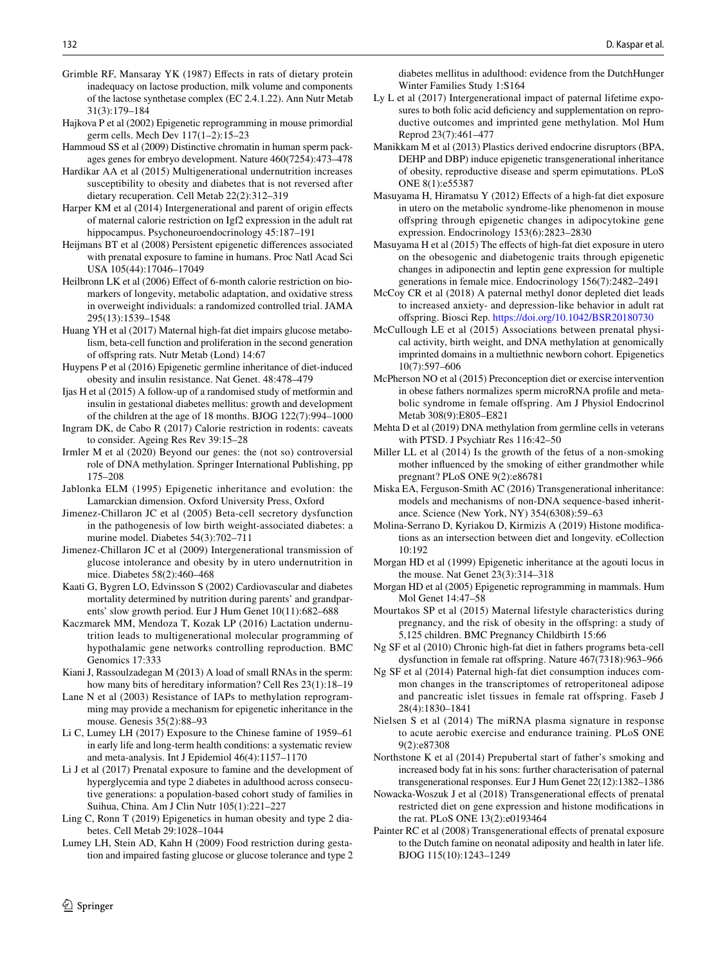- <span id="page-13-34"></span>Grimble RF, Mansaray YK (1987) Efects in rats of dietary protein inadequacy on lactose production, milk volume and components of the lactose synthetase complex (EC 2.4.1.22). Ann Nutr Metab 31(3):179–184
- <span id="page-13-2"></span>Hajkova P et al (2002) Epigenetic reprogramming in mouse primordial germ cells. Mech Dev 117(1–2):15–23
- <span id="page-13-38"></span>Hammoud SS et al (2009) Distinctive chromatin in human sperm packages genes for embryo development. Nature 460(7254):473–478
- <span id="page-13-20"></span>Hardikar AA et al (2015) Multigenerational undernutrition increases susceptibility to obesity and diabetes that is not reversed after dietary recuperation. Cell Metab 22(2):312–319
- <span id="page-13-11"></span>Harper KM et al (2014) Intergenerational and parent of origin effects of maternal calorie restriction on Igf2 expression in the adult rat hippocampus. Psychoneuroendocrinology 45:187–191
- <span id="page-13-5"></span>Heijmans BT et al (2008) Persistent epigenetic diferences associated with prenatal exposure to famine in humans. Proc Natl Acad Sci USA 105(44):17046–17049
- <span id="page-13-27"></span>Heilbronn LK et al (2006) Effect of 6-month calorie restriction on biomarkers of longevity, metabolic adaptation, and oxidative stress in overweight individuals: a randomized controlled trial. JAMA 295(13):1539–1548
- <span id="page-13-13"></span>Huang YH et al (2017) Maternal high-fat diet impairs glucose metabolism, beta-cell function and proliferation in the second generation of ofspring rats. Nutr Metab (Lond) 14:67
- <span id="page-13-16"></span>Huypens P et al (2016) Epigenetic germline inheritance of diet-induced obesity and insulin resistance. Nat Genet. 48:478–479
- <span id="page-13-42"></span>Ijas H et al (2015) A follow-up of a randomised study of metformin and insulin in gestational diabetes mellitus: growth and development of the children at the age of 18 months. BJOG 122(7):994–1000
- <span id="page-13-33"></span>Ingram DK, de Cabo R (2017) Calorie restriction in rodents: caveats to consider. Ageing Res Rev 39:15–28
- <span id="page-13-1"></span>Irmler M et al (2020) Beyond our genes: the (not so) controversial role of DNA methylation. Springer International Publishing, pp 175–208
- <span id="page-13-0"></span>Jablonka ELM (1995) Epigenetic inheritance and evolution: the Lamarckian dimension. Oxford University Press, Oxford
- <span id="page-13-7"></span>Jimenez-Chillaron JC et al (2005) Beta-cell secretory dysfunction in the pathogenesis of low birth weight-associated diabetes: a murine model. Diabetes 54(3):702–711
- <span id="page-13-9"></span>Jimenez-Chillaron JC et al (2009) Intergenerational transmission of glucose intolerance and obesity by in utero undernutrition in mice. Diabetes 58(2):460–468
- <span id="page-13-24"></span>Kaati G, Bygren LO, Edvinsson S (2002) Cardiovascular and diabetes mortality determined by nutrition during parents' and grandparents' slow growth period. Eur J Hum Genet 10(11):682–688
- <span id="page-13-10"></span>Kaczmarek MM, Mendoza T, Kozak LP (2016) Lactation undernutrition leads to multigenerational molecular programming of hypothalamic gene networks controlling reproduction. BMC Genomics 17:333
- <span id="page-13-41"></span>Kiani J, Rassoulzadegan M (2013) A load of small RNAs in the sperm: how many bits of hereditary information? Cell Res 23(1):18-19
- <span id="page-13-39"></span>Lane N et al (2003) Resistance of IAPs to methylation reprogramming may provide a mechanism for epigenetic inheritance in the mouse. Genesis 35(2):88–93
- <span id="page-13-22"></span>Li C, Lumey LH (2017) Exposure to the Chinese famine of 1959–61 in early life and long-term health conditions: a systematic review and meta-analysis. Int J Epidemiol 46(4):1157–1170
- <span id="page-13-23"></span>Li J et al (2017) Prenatal exposure to famine and the development of hyperglycemia and type 2 diabetes in adulthood across consecutive generations: a population-based cohort study of families in Suihua, China. Am J Clin Nutr 105(1):221–227
- <span id="page-13-3"></span>Ling C, Ronn T (2019) Epigenetics in human obesity and type 2 diabetes. Cell Metab 29:1028–1044
- <span id="page-13-4"></span>Lumey LH, Stein AD, Kahn H (2009) Food restriction during gestation and impaired fasting glucose or glucose tolerance and type 2

diabetes mellitus in adulthood: evidence from the DutchHunger Winter Families Study 1:S164

- <span id="page-13-17"></span>Ly L et al (2017) Intergenerational impact of paternal lifetime exposures to both folic acid defciency and supplementation on reproductive outcomes and imprinted gene methylation. Mol Hum Reprod 23(7):461–477
- <span id="page-13-21"></span>Manikkam M et al (2013) Plastics derived endocrine disruptors (BPA, DEHP and DBP) induce epigenetic transgenerational inheritance of obesity, reproductive disease and sperm epimutations. PLoS ONE 8(1):e55387
- <span id="page-13-8"></span>Masuyama H, Hiramatsu Y (2012) Efects of a high-fat diet exposure in utero on the metabolic syndrome-like phenomenon in mouse ofspring through epigenetic changes in adipocytokine gene expression. Endocrinology 153(6):2823–2830
- <span id="page-13-12"></span>Masuyama H et al (2015) The effects of high-fat diet exposure in utero on the obesogenic and diabetogenic traits through epigenetic changes in adiponectin and leptin gene expression for multiple generations in female mice. Endocrinology 156(7):2482–2491
- <span id="page-13-18"></span>McCoy CR et al (2018) A paternal methyl donor depleted diet leads to increased anxiety- and depression-like behavior in adult rat ofspring. Biosci Rep.<https://doi.org/10.1042/BSR20180730>
- <span id="page-13-30"></span>McCullough LE et al (2015) Associations between prenatal physical activity, birth weight, and DNA methylation at genomically imprinted domains in a multiethnic newborn cohort. Epigenetics 10(7):597–606
- <span id="page-13-35"></span>McPherson NO et al (2015) Preconception diet or exercise intervention in obese fathers normalizes sperm microRNA profle and metabolic syndrome in female ofspring. Am J Physiol Endocrinol Metab 308(9):E805–E821
- <span id="page-13-31"></span>Mehta D et al (2019) DNA methylation from germline cells in veterans with PTSD. J Psychiatr Res 116:42–50
- <span id="page-13-26"></span>Miller LL et al (2014) Is the growth of the fetus of a non-smoking mother infuenced by the smoking of either grandmother while pregnant? PLoS ONE 9(2):e86781
- <span id="page-13-36"></span>Miska EA, Ferguson-Smith AC (2016) Transgenerational inheritance: models and mechanisms of non-DNA sequence-based inheritance. Science (New York, NY) 354(6308):59–63
- <span id="page-13-37"></span>Molina-Serrano D, Kyriakou D, Kirmizis A (2019) Histone modifcations as an intersection between diet and longevity. eCollection 10:192
- <span id="page-13-32"></span>Morgan HD et al (1999) Epigenetic inheritance at the agouti locus in the mouse. Nat Genet 23(3):314–318
- <span id="page-13-40"></span>Morgan HD et al (2005) Epigenetic reprogramming in mammals. Hum Mol Genet 14:47–58
- <span id="page-13-29"></span>Mourtakos SP et al (2015) Maternal lifestyle characteristics during pregnancy, and the risk of obesity in the ofspring: a study of 5,125 children. BMC Pregnancy Childbirth 15:66
- <span id="page-13-14"></span>Ng SF et al (2010) Chronic high-fat diet in fathers programs beta-cell dysfunction in female rat ofspring. Nature 467(7318):963–966
- <span id="page-13-15"></span>Ng SF et al (2014) Paternal high-fat diet consumption induces common changes in the transcriptomes of retroperitoneal adipose and pancreatic islet tissues in female rat offspring. Faseb J 28(4):1830–1841
- <span id="page-13-28"></span>Nielsen S et al (2014) The miRNA plasma signature in response to acute aerobic exercise and endurance training. PLoS ONE 9(2):e87308

<span id="page-13-25"></span>Northstone K et al (2014) Prepubertal start of father's smoking and increased body fat in his sons: further characterisation of paternal transgenerational responses. Eur J Hum Genet 22(12):1382–1386

- <span id="page-13-19"></span>Nowacka-Woszuk J et al (2018) Transgenerational effects of prenatal restricted diet on gene expression and histone modifcations in the rat. PLoS ONE 13(2):e0193464
- <span id="page-13-6"></span>Painter RC et al (2008) Transgenerational effects of prenatal exposure to the Dutch famine on neonatal adiposity and health in later life. BJOG 115(10):1243–1249